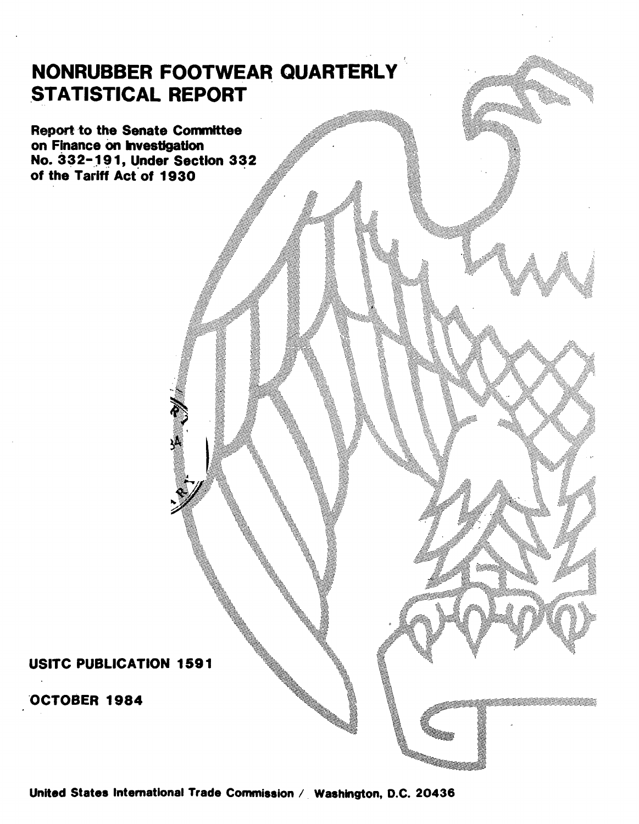# NONRUBBER FOOTWEAR QUARTERLY **STATISTICAL REPORT**

**Report to the Senate Committee** on Finance on Investigation No. 332-191, Under Section 332 of the Tariff Act of 1930

## **USITC PUBLICATION 1591**

# OCTOBER 1984

United States International Trade Commission / Washington, D.C. 20436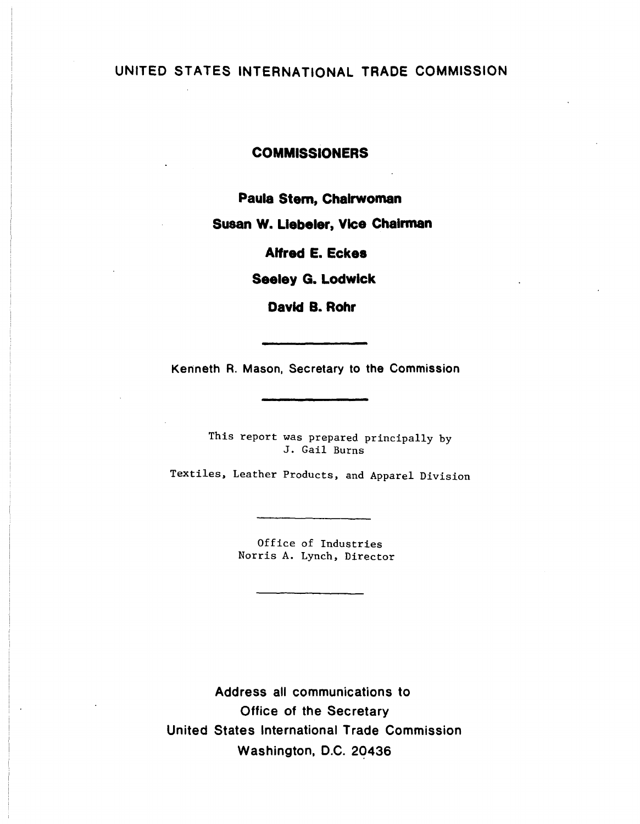## UNITED STATES INTERNATIONAL TRADE COMMISSION

## **COMMISSIONERS**

Paula Stem, Chairwoman

Susan W. Llebeler, Vice Chairman

Alfred E. Eckes

Seeley G. Lodwick

David B. Rohr

Kenneth R. Mason, Secretary to the Commission

This report was prepared principally by J. Gail Burns

Textiles, Leather Products, and Apparel Division

Office of Industries Norris A. Lynch, Director

Address all communications to Office of the Secretary United States International Trade Commission Washington, D.C. 2Q436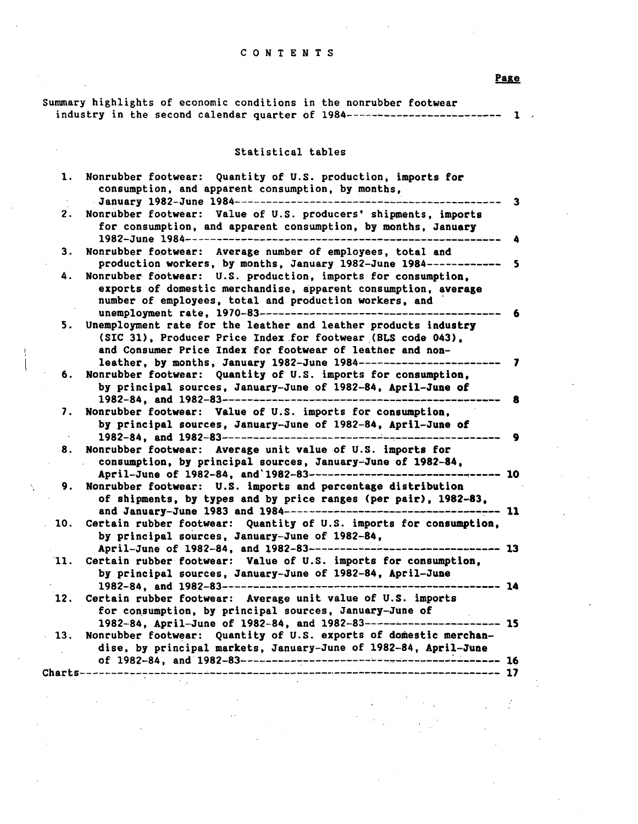### C 0 N T E N T S

Summary highlights of economic conditions in the nonrubber footwear industry in the second calendar quarter of  $1984$ ---------------------------- 1  $/$ 

### Statistical tables

| 1.     | Nonrubber footwear: Quantity of U.S. production, imports for<br>consumption, and apparent consumption, by months,                                                                                        |                          |
|--------|----------------------------------------------------------------------------------------------------------------------------------------------------------------------------------------------------------|--------------------------|
|        | January 1982-June 1984------------------------                                                                                                                                                           | 3                        |
| 2.     | Nonrubber footwear: Value of U.S. producers' shipments, imports<br>for consumption, and apparent consumption, by months, January<br>1982-June 1984-----------------------------                          | 4                        |
| 3.     | Nonrubber footwear: Average number of employees, total and                                                                                                                                               |                          |
|        | production workers, by months, January 1982-June 1984------------                                                                                                                                        | 5                        |
| 4.     | Nonrubber footwear: U.S. production, imports for consumption,<br>exports of domestic merchandise, apparent consumption, average<br>number of employees, total and production workers, and                | 6                        |
| 5.     | Unemployment rate for the leather and leather products industry<br>(SIC 31), Producer Price Index for footwear (BLS code 043),<br>and Consumer Price Index for footwear of leather and non-              |                          |
|        | leather, by months, January 1982-June 1984------------------------                                                                                                                                       | $\overline{\phantom{a}}$ |
| 6.     | Nonrubber footwear: Quantity of U.S. imports for consumption,<br>by principal sources, January-June of 1982-84, April-June of                                                                            |                          |
|        | ----                                                                                                                                                                                                     | 8                        |
| 7.     | Nonrubber footwear: Value of U.S. imports for consumption,<br>by principal sources, January-June of 1982-84, April-June of                                                                               |                          |
| 8.     | Nonrubber footwear: Average unit value of U.S. imports for<br>consumption, by principal sources, January-June of 1982-84,                                                                                |                          |
| 9.     | April-June of 1982-84, and 1982-83-------------------------------- 10<br>Nonrubber footwear: U.S. imports and percentage distribution<br>of shipments, by types and by price ranges (per pair), 1982-83. |                          |
|        |                                                                                                                                                                                                          |                          |
| 10.    | Certain rubber footwear: Quantity of U.S. imports for consumption,<br>by principal sources, January-June of 1982-84,<br>$--- - 13$<br>April-June of 1982-84, and 1982-83------------------------         |                          |
| 11.    | Certain rubber footwear: Value of U.S. imports for consumption.<br>by principal sources, January-June of 1982-84, April-June                                                                             |                          |
| 12.    | Certain rubber footwear: Average unit value of U.S. imports<br>for consumption, by principal sources, January-June of                                                                                    |                          |
|        | 1982-84, April-June of 1982-84, and 1982-83---------------------- 15                                                                                                                                     |                          |
| $-13.$ | Nonrubber footwear: Quantity of U.S. exports of domestic merchan-<br>dise, by principal markets, January-June of 1982-84, April-June                                                                     |                          |
|        |                                                                                                                                                                                                          |                          |
|        |                                                                                                                                                                                                          |                          |

 $\bar{\lambda}$ 

### Page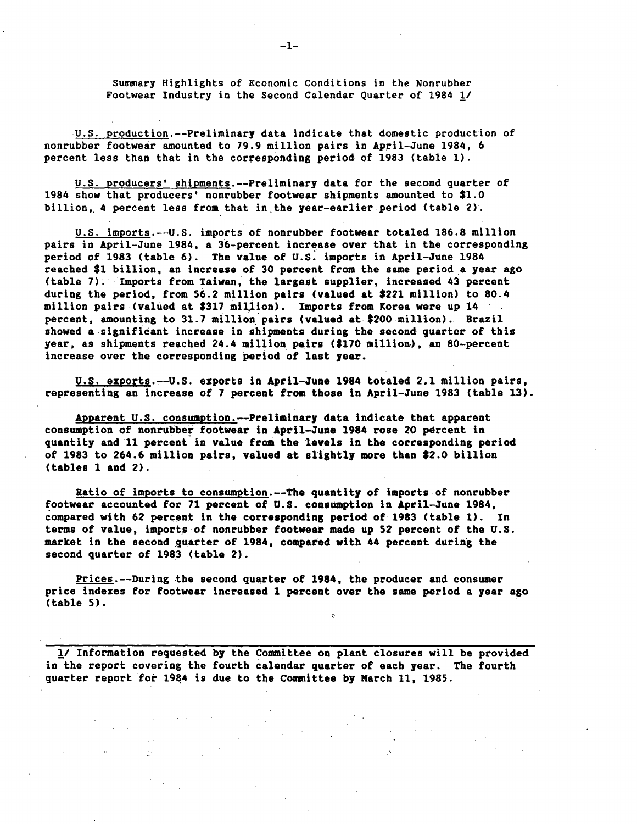Summary Highlights of Economic Conditions in the Nonrubber Footwear Industry in the Second Calendar Quarter of 1984 *11* 

U.S. production.--Preliminary data indicate that domestic production of nonrubber footwear amounted to 79.9 million pairs in April-June 1984, 6 percent less than that in the corresponding period of 1983 (table 1).

U.S. producers' shipments.--Preliminary data for the second quarter of 1984 show that producers' nonrubber footwear shipments amounted to \$1.0 billion, 4 percent less from that in the year-earlier period (table 2).

U.S. imports.--U.S. imports of nonrubber footwear totaled 186.8 million pairs in April-June 1984, a 36-percent increase over that in the corresponding period of 1983 (table 6). The value of U.S. imports in April-June 1984 reached \$1 billion, an increase of 30 percent from.the same period a year ago (table 7). Imports from Taiwan, the largest supplier, increased 43 percent during the period, from 56.2 million pairs (valued at \$221 million) to 80.4 million pairs (valued at \$317 mil}ion). Imports from Korea were up 14 percent, amounting to 31.7 million pairs (valued at \$200 million). Brazil showed a significant increase in shipments during the second quarter of this year, as shipments reached 24.4 million pairs (\$170 million), an 80-percent increase over the corresponding period of last year.

U.S. exports.--U.S. exports in April-June 1984 totaled 2,1 million pairs, representing an increase of 7 percent from those in April-June 1983 (table 13).

Apparent U.S. consumption.--Preliminary data indicate that apparent consumption of nonrubber footwear in April-June 1984 rose 20 percent in quantity and 11 percent in value from the levels in the corresponding period of 1983 to 264.6 million pairs, valued at slightly more than \$2.0 billion (tables 1 and 2).

Ratio of imports to consumption.--The quantity of imports of nonrubber footwear accounted for 71 percent of U.S. consumption in April-June 1984, compared with 62 percent in the corresponding period of 1983 (table 1). In terms of value, imports of nonrubber footwear made up 52 percent of the U.S. market in the second quarter of 1984, compared with 44 percent during the second quarter of 1983 (table 2).

Prices.--During the second quarter of 1984, the producer and consumer price indexes for footwear increased 1 percent over the same period a year ago (table 5).

 $\circ$ 

!I Information requested by the Committee on plant closures will be provided in the report covering the fourth calendar quarter of each year. The fourth quarter report for 1984 is due to the Committee by March 11, 1985.

 $\label{eq:2} \frac{1}{\sqrt{2}}\sum_{\substack{\alpha\in\mathbb{Z}^d\\ \alpha\in\mathbb{Z}^d}}\frac{1}{\alpha\left(\frac{\alpha}{\alpha}\right)^{\alpha}}\sum_{\substack{\alpha\in\mathbb{Z}^d\\ \alpha\in\mathbb{Z}^d}}\frac{1}{\alpha\left(\frac{\alpha}{\alpha}\right)^{\alpha}}\sum_{\substack{\alpha\in\mathbb{Z}^d\\ \alpha\in\mathbb{Z}^d}}\frac{1}{\alpha\left(\frac{\alpha}{\alpha}\right)^{\alpha}}\sum_{\substack{\alpha\in\mathbb{Z}^d\\ \alpha\in\mathbb{Z}^d}}\frac{1}{\alpha\left$ 

 $\mathbb{R}^2$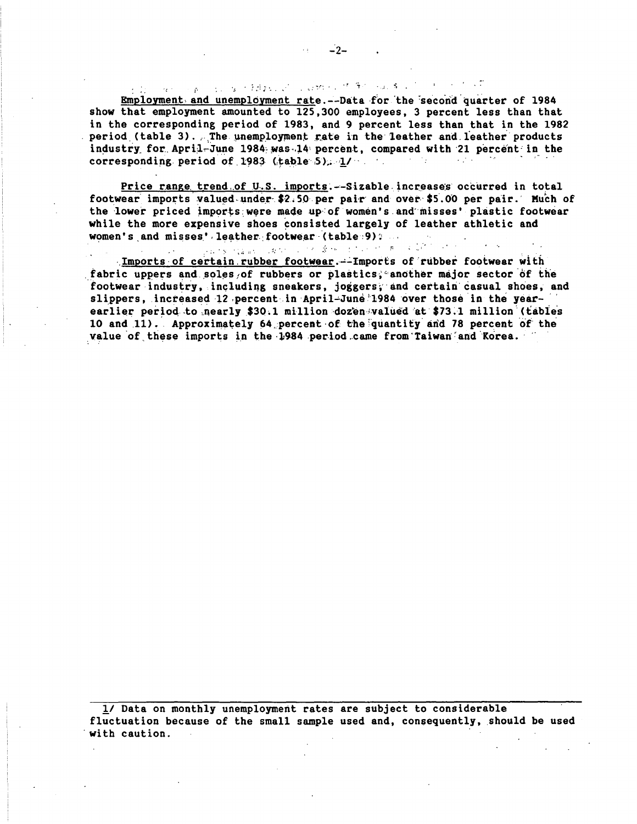The report of the second come. It for each a Employment and unemployment rate.--Data for the second quarter of 1984 show that employment amounted to 125,300 employees, 3 percent less than that in the corresponding period of 1983, and 9 percent less than that in the 1982 period (table 3). The unemployment rate in the leather and leather products industry for April-June 1984 was 14 percent, compared with 21 percent in the corresponding period of 1983 (table 5), 1/

Price range trend of U.S. imports.--Sizable increases occurred in total footwear imports valued under \$2.50 per pair and over \$5.00 per pair. Much of the lower priced imports were made up of women's and misses' plastic footwear while the more expensive shoes consisted largely of leather athletic and women's and misses' leather footwear (table 9):

计数据处理数据 化氟化物 经资产费用 计可变性 计二进制 经总额 Imports of certain rubber footwear. -- Imports of rubber footwear with fabric uppers and soles of rubbers or plastics, another major sector of the footwear industry, including sneakers, joggers, and certain casual shoes, and slippers, increased 12 percent in April-June 1984 over those in the yearearlier period to nearly \$30.1 million dozen valued at \$73.1 million (tables 10 and 11). Approximately 64 percent of the quantity and 78 percent of the value of these imports in the 1984 period came from Taiwan and Korea.

1/ Data on monthly unemployment rates are subject to considerable fluctuation because of the small sample used and, consequently, should be used with caution.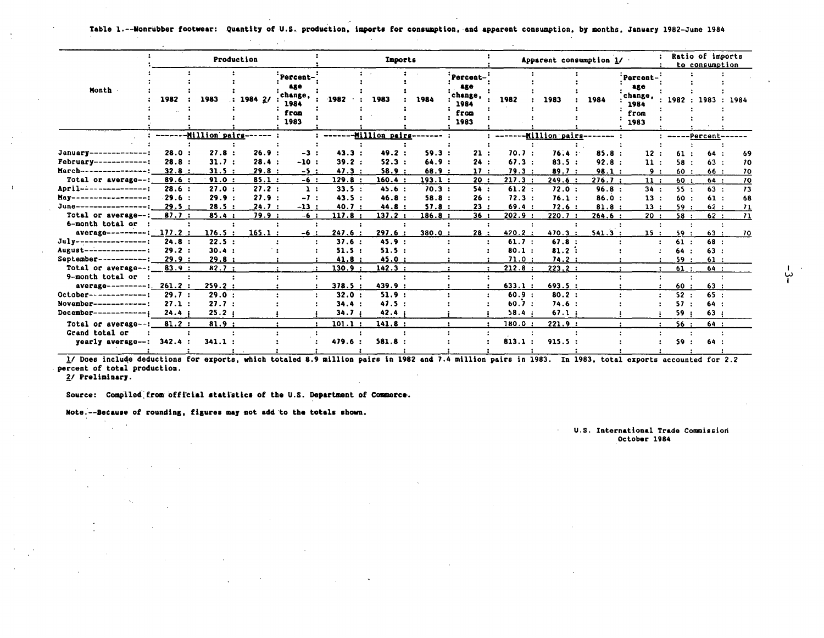Table 1.--Wonrubber footwear: .Quantity of U.S. production, imports for consumption, and apparent consumption, by months, January 1982-June 1984

|                           |       |                 | Production |                                                    |        | <b>Imports</b> |                |                                                           |         | Apparent consumption 1/ |                |                                                    |           | Ratio of imports<br>to consumption |          |
|---------------------------|-------|-----------------|------------|----------------------------------------------------|--------|----------------|----------------|-----------------------------------------------------------|---------|-------------------------|----------------|----------------------------------------------------|-----------|------------------------------------|----------|
| Month                     | 1982  | 1983            | : 198422   | Percent-<br>age<br>change.<br>1984<br>from<br>1983 | 1982   | 1983           | 1984           | <b>Percent-</b><br>age<br>change,<br>1984<br>from<br>1983 | 1982    | 1983                    | 1984           | Percent-<br>age<br>change,<br>1984<br>from<br>1983 | 1982:     | 1983:                              | 1984     |
|                           |       | -Million pairs- |            |                                                    |        | -Million pairs |                |                                                           |         | Million pairs           |                |                                                    |           | -Percent                           |          |
| January--------------     | 28.0: | 27.8            | 26.9:      | $-3:$                                              | 43.3:  | 49.2:          |                |                                                           | 70.7:   |                         |                |                                                    |           |                                    |          |
| $February-----$           | 28.8: | 31.7:           | 28.4:      | $-10:$                                             | 39.2:  | 52.3:          | 59.3:<br>64.9: | 21:<br>24:                                                | 67.3:   | 76.4:<br>83.5:          | 85.8:<br>92.8: | 12<br>11:                                          | 61<br>58: | 64<br>63 :                         | 69<br>70 |
| March----------------     | 32.8: | 31.5:           | 29.8:      | $-5$ :                                             | 47.3:  | 58.9:          | 68.9 :         | 17:                                                       | 79.3:   | 89.7:                   | 98.1:          | 9.                                                 | 60:       | 66 :                               |          |
| Total or average--:       | 89.6: | 91.0:           | 85.1:      | $-6:$                                              | 129.8: | 160.4:         | 193.1:         | 20:                                                       | 217.3:  | 249.6:                  | 276.7:         | 11:                                                | 60:       | 64:                                | 70<br>70 |
| April---------------;     | 28.6: | 27.0:           | 27.2:      | 1:                                                 | 33.5:  | 45.6:          | 70.3:          | 54 :                                                      | 61.2:   | 72.0:                   | 96.8:          | 34:                                                | 55:       | 63:                                | 73       |
| May---                    | 29.6: | 29.9:           | 27.9:      | $-7:$                                              | 43.5:  | 46.8:          | 58.8:          | 26:                                                       | 72.3:   | 76.1:                   | 86.0:          | 13:                                                | 60:       | 61:                                | 68       |
| June----------------:     | 29.5: | 28.5:           | 24.7:      | $-13:$                                             | 40.7:  | 44.8 :         | 57.8:          | 23:                                                       | 69.4:   | 72.6:                   | 81.8:          | 13:                                                | 59 :      | 62:                                | 71       |
| Total or average--:       | 87.7: | 85.4:           | 79.9:      | $-6:$                                              | 117.8: | 137.2:         | 186.8:         | 36:                                                       | 202.9:  | 220.7:                  | 264.6:         | 20:                                                | 58:       | 62:                                | 71       |
| 6-month total or          |       |                 |            |                                                    |        |                |                |                                                           |         |                         |                |                                                    |           |                                    |          |
| average---------: 177.2 : |       | 176.5:          | 165.1:     | $-6:$                                              | 247.6: | 297.6:         | 380.0:         | 28 :                                                      | 420.2 : | 470.3 :                 | 541.3:         | 15:                                                | 59:       | 63:                                | 70       |
| July-----------------:    | 24.8: | 22.5:           |            |                                                    | 37.6:  | 45.9:          |                |                                                           | 61.7:   | 67.8:                   |                |                                                    | 61:       | 68:                                |          |
| August---------------:    | 29.2: | 30.4 :          |            |                                                    | 51.5:  | 51.5:          |                |                                                           | 80.1:   | 81.2                    |                |                                                    | 64 :      | 63:                                |          |
| September-----------:     | 29.9: | 29.8:           |            |                                                    | 41.8   | 45.0 :         |                |                                                           | 71.0:   | 74.2:                   |                |                                                    | 59:       | 61:                                |          |
| Total or average--:       | 83.9: | 82.7:           |            |                                                    | 130.9: | 142.3:         |                |                                                           | 212.8:  | 223.2:                  |                |                                                    | 61:       | 64 :                               |          |
| 9-month total or          |       |                 |            |                                                    |        |                |                |                                                           |         |                         |                |                                                    |           |                                    |          |
| average---------: 261.2 : |       | 259.2:          |            |                                                    | 378.5: | 439.9 :        |                |                                                           | 633.1:  | 693.5:                  |                |                                                    | 60 :      | 63:                                |          |
| October-------------:     | 29.7: | 29.0:           |            |                                                    | 32.0:  | 51.9:          |                |                                                           | 60.9:   | 80.2:                   |                |                                                    | 52:       | 65:                                |          |
| November------------:     | 27.1: | 27.7:           |            |                                                    | 34.4:  | 47.5 :         |                |                                                           | 60.7:   | 74.6:                   |                |                                                    | 57        | 64 :                               |          |
| $December---------$       | 24.4  | 25.2:           |            |                                                    | 34.7   | 42.4;          |                |                                                           | 58.4    | 67.1:                   |                |                                                    | 59 :      | 63:                                |          |
| Total or average--:       | 81.2: | 81.9:           |            |                                                    | 101.1: | 141.8:         |                |                                                           | 180.0:  | 221.9:                  |                |                                                    | 56:       | 64 :                               |          |
| Grand total or            |       |                 |            |                                                    |        |                |                |                                                           |         |                         |                |                                                    |           |                                    |          |
| yearly average--:         | 342.4 | 341.1:          |            |                                                    | 479.6  | 581.8 :        |                |                                                           | 813.1:  | 915.5:                  |                |                                                    | 59        | 64                                 |          |

interferies in the state of the state of the state of the state of the state of the state of the state of the state of the state of the state of the state of the state of the state of the state of the state of the state of . percent of total production.

2/ Preliminary.

 $\mathcal{L}$ 

 $\bar{\alpha}$  $\mathbf{r}$ 

 $\sim 10^{11}$ 

Source: Compiled from official statistics of the U.S. Department of Commerce.

 $\sim$ 

Note.--Because of rounding, figures may not add to the totals shown.

U.S. International Trade Commission October 1984

 $\sim$ 

၂<br>၂<br>၂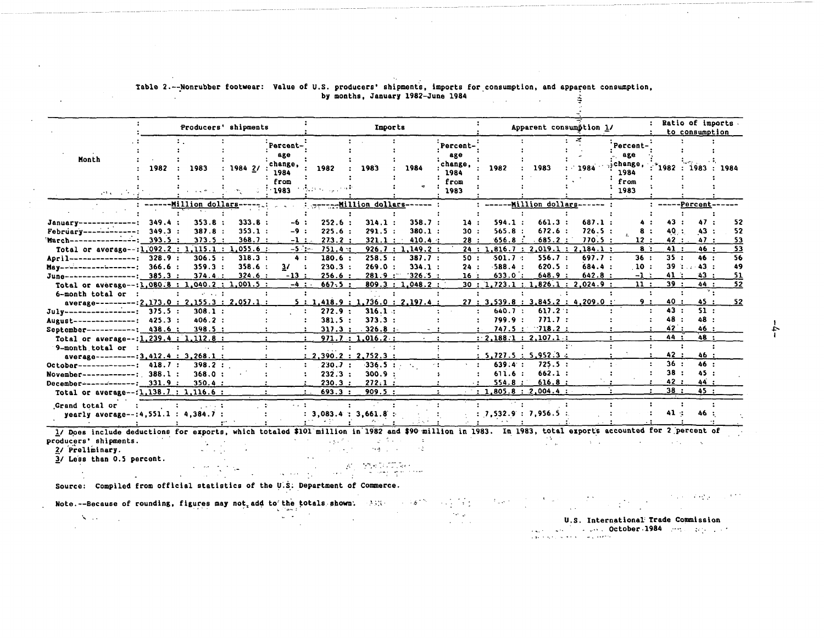|                        | Apparent consumption 1/            |                                                   | Ratio of imports<br>to consumption                                                                                                                             |
|------------------------|------------------------------------|---------------------------------------------------|----------------------------------------------------------------------------------------------------------------------------------------------------------------|
| Percent-<br>1982       | 1983<br>1984                       | Percent-<br>age<br>change<br>1984<br>from<br>1983 | '1982 : 1983 : 1984                                                                                                                                            |
|                        | -Million dollars                   |                                                   | -Percent                                                                                                                                                       |
|                        |                                    |                                                   |                                                                                                                                                                |
| 594.1:<br>14:          | 661.3:<br>$687.1$ :                | 43                                                | 52<br>47                                                                                                                                                       |
| 565.8<br>30:           | 672.6:<br>726.5:                   | 40:                                               | 52<br>43                                                                                                                                                       |
| 656.8<br>28:           | 685.2:<br>770.5:                   | 12:                                               | 53<br>42:<br>47:                                                                                                                                               |
| 24: 1.816.7: 2.019.1:  | 2.184.1:                           | 8:<br>41:                                         | 53<br>46 :                                                                                                                                                     |
| 501.7:<br>50:          | 556.7:<br>697.7:                   | 35:<br>36:                                        | 56<br>46 :                                                                                                                                                     |
| $-588.4:$<br>24:       | 620.5:<br>684.4 :                  | 39:<br>10:                                        | . 43 :<br>49                                                                                                                                                   |
| $633.0$ :<br>16:       | 648.9<br>642.8:                    | 41 :<br>$-1$ :                                    | 51<br>43                                                                                                                                                       |
| 30:1.723.1:1           | .826.1 : 2.024.9 :                 | 39:<br>11:                                        | 52<br>44:                                                                                                                                                      |
|                        |                                    |                                                   |                                                                                                                                                                |
|                        | 27 : 3,539.8 : 3,845.2 : 4,209.0 : | 40:<br>9:                                         | 45 :<br>52                                                                                                                                                     |
| 640.7 :                | 617.2:                             | 43:                                               | 51:                                                                                                                                                            |
| 799.9:                 | 771.7:                             | 48                                                | 48 :                                                                                                                                                           |
| 747.5:                 | 718.2:                             | 42:                                               | 46 :                                                                                                                                                           |
| : 2,188.1 : 2,107.1 :  |                                    | 44 :                                              | 48:                                                                                                                                                            |
|                        |                                    |                                                   |                                                                                                                                                                |
| 5.727.5 : 5.952.3 :    |                                    | 42 :                                              | 46:                                                                                                                                                            |
| $639:4:$ :             | 725.5:                             | 36:                                               | 46 :                                                                                                                                                           |
| 611.6:                 | $662.1$ :                          | 38:                                               | 45 :                                                                                                                                                           |
| 554.8:<br>$\cdot$ :    | 616.8:                             | 42:                                               | 44 :                                                                                                                                                           |
| ,805.8:2,004.4:<br>- 1 |                                    | 38:                                               | 45:                                                                                                                                                            |
|                        |                                    |                                                   |                                                                                                                                                                |
|                        |                                    |                                                   | 46 :                                                                                                                                                           |
|                        |                                    |                                                   |                                                                                                                                                                |
|                        |                                    | : 7.532.9 : 7.956.5 :                             | 41:<br>1/ Does include deductions for exports, which totaled \$101 million in 1982 and \$90 million in 1983. In 1983, total exports accounted for 2 percent of |

## Table 2.-~Nonrubber footwear: Value of U.S. producers' shipments, imports for consumption, and apparent consumption, by months, January 1982-June 1984  $\frac{1}{2}$

producers' shipments. . As a set of  $\mathcal{A}$  . In the  $\mathcal{A}$  $\Delta\sim 10^4$  $\rightarrow 2$ £1 'p~eliminary. . • ·J

 $\sim$ 

~/ Le's s than 0. 5 percent. ... ...., ~· ,•i'.

Source: Compiled from official statistics of the U.S; Department of Commerce.  $\sim$ 

... Note.--Because of rounding, figures may not,adl:l to' the ~otals.shown~ . . . . ......... : .::.::;.- ·,"J

·, U.S. International Trade Commission

...... October -1984 *:···* ; . .\_

 $-4-$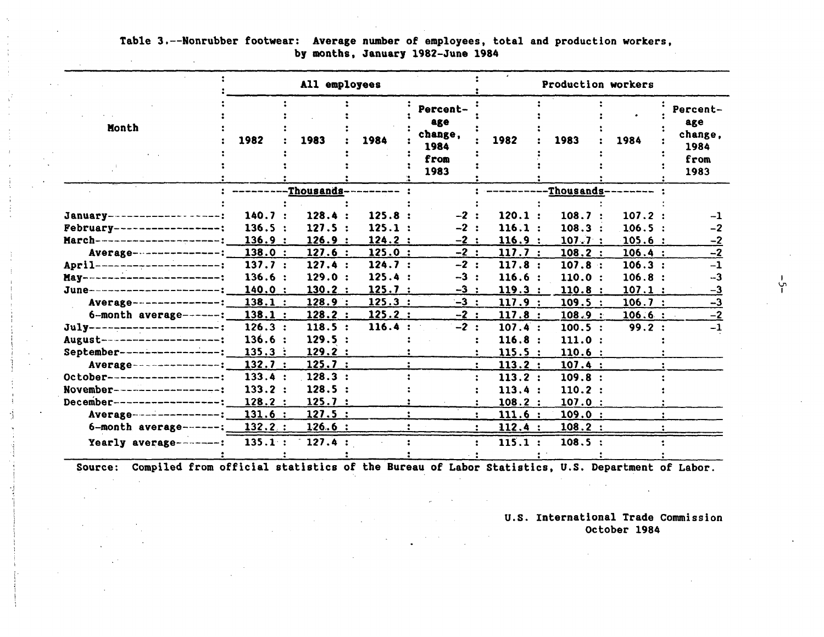|                              |        | All employees |        |                                                    |        | Production workers |           |                                                    |
|------------------------------|--------|---------------|--------|----------------------------------------------------|--------|--------------------|-----------|----------------------------------------------------|
| Month                        | 1982   | 1983          | 1984   | Percent-<br>age<br>change,<br>1984<br>from<br>1983 | 1982   | 1983               | 1984      | Percent-<br>age<br>change,<br>1984<br>from<br>1983 |
|                              |        | Thousands     |        |                                                    |        | <b>Thousands</b>   |           |                                                    |
|                              |        |               |        |                                                    |        |                    |           |                                                    |
| January<br>. <u>.</u>        | 140.7: | 128.4:        | 125.8: | $-2:$                                              | 120.1: | 108.7              | 107.2:    | $-1$                                               |
| February------------------   | 136.5: | 127.5:        | 125.1: | $-2:$                                              | 116.1: | $108.3$ :          | $106.5$ : | $-2$                                               |
| March--------------------    | 136.9: | 126.9:        | 124.2: | $-2:$                                              | 116.9: | 107.7:             | 105.6:    | $-2$                                               |
| Average----------------:     | 138.0: | 127.6:        | 125.0: | $-2:$                                              | 117.7: | 108.2:             | 106.4:    | $-2$                                               |
| April---------------------:  | 137.7: | 127.4:        | 124.7: | $-2:$                                              | 117.8: | 107.8:             | $106.3$ : | $-1$                                               |
| May------------------------  | 136.6: | 129.0:        | 125.4: | $-3:$                                              | 116.6: | 110.0:             | 106.8:    | $-3$                                               |
| June-----------------------  | 140.0: | 130.2 :       | 125.7: | $-3:$                                              | 119.3: | 110.8:             | 107.1:    | <u>_3</u>                                          |
| $Average---------------:$    | 138.1: | 128.9:        | 125.3: | $-3:$                                              | 117.9: | 109.5 :            | 106.7:    | $-3$                                               |
| 6-month average-------:      | 138.1: | 128.2:        | 125.2: | $-2:$                                              | 117.8: | 108.9:             | 106.6:    | $-2$                                               |
| July------------------------ | 126.3: | 118.5:        | 116.4: | $-2:$                                              | 107.4: | 100.5:             | 99.2:     |                                                    |
| August--------------------:  | 136.6: | 129.5:        |        |                                                    | 116.8: | 111.0:             |           |                                                    |
| September----------------:   | 135.3: | 129.2:        |        |                                                    | 115.5: | 110.6:             |           |                                                    |
| Average---------------:      | 132.7: | 125.7:        |        |                                                    | 113.2: | 107.4:             |           |                                                    |
| October -------------------  | 133.4: | 128.3:        |        |                                                    | 113.2: | 109.8:             |           |                                                    |
| November------------------:  | 133.2: | 128.5:        |        |                                                    | 113.4: | 110.2:             |           |                                                    |
| December------------------:  | 128.2: | 125.7:        |        |                                                    | 108.2: | 107.0:             |           |                                                    |
| Average---------------:      | 131.6: | 127.5:        |        | ÷                                                  | 111.6: | 109.0:             |           |                                                    |
| 6-month average------:       | 132.2: | 126.6:        |        |                                                    | 112.4: | 108.2:             |           |                                                    |
| Yearly average--------:      | 135.1: | 127.4:        |        |                                                    | 115.1: | 108.5:             |           |                                                    |
|                              |        |               |        |                                                    |        |                    |           |                                                    |

table 3.--Nonrubber footwear: Average number of employees, total and production workers, by months, January 1982-June 1984

Source: Compiled from official statistics of the Bureau of Labor Statistics, U.S. Department of Labor.

 $\mathcal{L}^{\mathcal{L}}$ 

·.l

 $\sim 10^{-11}$ 

u.s. International Trade Commission October 1984

I \JI I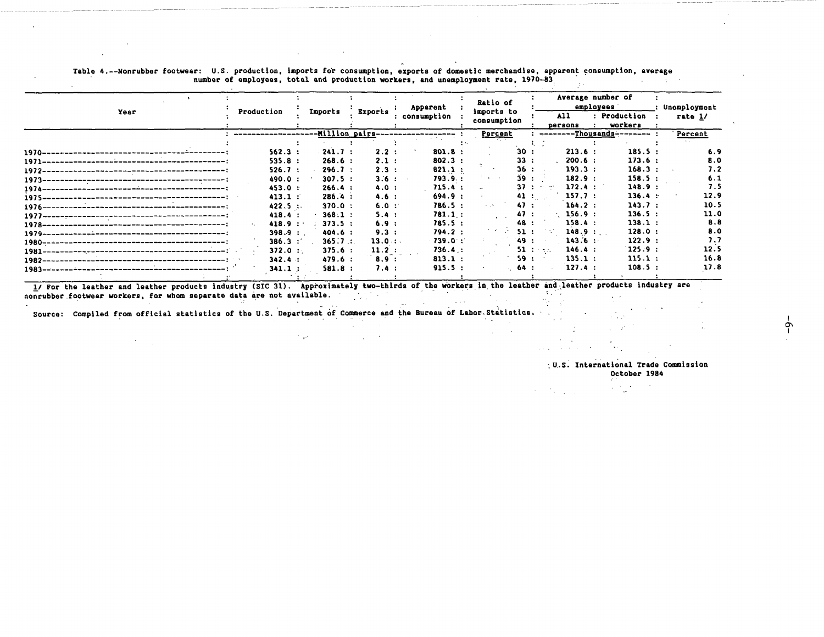Table 4.--Nonrubber footwear: U.S. production, imports for consumption, exports of domestic merchandise, apparent consumption, average number of employees, total and production workers, and unemployment rate, 1970-83 **Carl Contractor** 

|                                   |            |                 |                | Apparent      | Ratio of                                  |                           | Average number of<br>employees | Unemployment |
|-----------------------------------|------------|-----------------|----------------|---------------|-------------------------------------------|---------------------------|--------------------------------|--------------|
| Year                              | Production | Imports         | <b>Exports</b> | : consumption | imports to                                | All.                      | : Production                   | rate 1/      |
|                                   |            |                 |                |               | consumption                               | persons                   | workers                        |              |
|                                   |            | -Million pairs- |                |               | Percent                                   |                           | -----Thousands-------- :       | Percent      |
|                                   |            |                 |                |               |                                           |                           |                                |              |
| 1970----------------------------- | 562.3 :    | 241.7:          | 2.2:           | 801.8:        | 30:                                       | 213.6:                    | 185.5:                         | 6.9          |
|                                   | 535.8:     | 268.6:          | 2.1:           | 802.3:        | 33:                                       | 200.6:                    | 173.6:                         | 8.0          |
|                                   | 526.7:     | 296.7:          | 2.3:           | 821.1:        | 36:                                       | 193.3:                    | 168.3:                         | 7.2          |
|                                   | 490.0:     | 307.5:          | 3.6:           | 793.9. :      | 39 :<br><b>Service</b>                    | 182.9:                    | 158.5:                         | 6.1          |
|                                   | 453.0:     | 266.4:          | 4.0:           | 715.4:        | 37:                                       | 172.4:                    | 148.9:                         | 7.5          |
|                                   | 413.1:     | 286.4:          | 4.6:           | 694.9:        |                                           | 157.7:<br>41:             | 136.4:                         | 12.9         |
|                                   | 422.5:     | 370.0 :         | 6.0:           | 786.5 :       | 47 :<br>$\mathcal{N} \subset \mathcal{N}$ | 164.2:                    | 143.7:                         | 10.5         |
|                                   | 418.4:     | 368:1:          | 5.4:           | 781.1:        | 47 :                                      | 156.9:                    | 136.5:                         | 11.0         |
|                                   | 418.9:     | 373.5:          | 6.9:           | 785.5:        | 48 :                                      | 158.4:                    | 138.1:                         | 8.8          |
|                                   | 398.9:     | 404.6 :         | 9.3:           | 794.2 :       | 51 :                                      | 148.9:                    | 128.0 :                        | 8.0          |
|                                   | $386.3$ :  | 365.7 ::        | 13.0:          | 739.0         | 49 :                                      | 143.6:                    | 122.9:                         | 7.7          |
|                                   | 372.0:     | 375.6:          | 11.2:          | 736.4:        |                                           | $51$ : $\ldots$<br>146.4: | 125.9:                         | 12.5         |
|                                   | 342.4:     | 479.6:          | 8.9:           | 813.1:        | 59.                                       | 135.1:                    | 115.1:                         | 16.8         |
|                                   |            |                 | 7.4:           | 915.5:        | 64:                                       | 127.4:                    | 108.5:                         | 17.8         |
| 1983-----------------------       | 341.1:     | 581.8:          |                |               |                                           |                           |                                |              |

 $\frac{1}{2}$  For the leather and leather products industry (SIC 31). Approximately two-thirds of the workers in the leather and leather products industry are nonrubber footwear workers, for whom separate data are not available.

> $\mathcal{L}_{\rm{max}}$  $\sim$

 $\mathcal{L}$ 

 $\sim$   $\sim$ 

 $\mathcal{A}=\mathcal{A}_{\mathcal{A}}$  ,  $\mathcal{A}_{\mathcal{A}}$ 

**Carl Corp.** 

 $\sim$ 

Source: Compiled from official statistics of the U.S. Department of Commerce and the Bureau of Labor Statistics.

 $\sim \sqrt{10}$ 

 $\lambda$ 

 $\bullet$  $\mathbb{Z}_2$ 

 $\cdot$ 

U.S. International Trade Commission October 1984

 $\sim 10^{-4}$ 

 $\frac{1}{9}$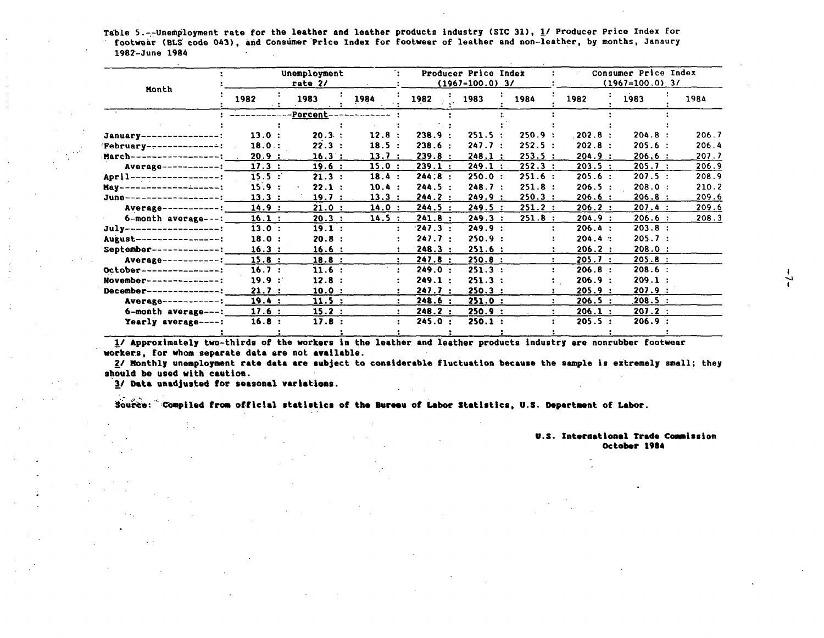|  |                |  |  |  |  | Table 5.--Unemployment rate for the leather and leather products industry (SIC 31), 1/ Producer Price Index for |  |  |  |  |  |
|--|----------------|--|--|--|--|-----------------------------------------------------------------------------------------------------------------|--|--|--|--|--|
|  |                |  |  |  |  | footwear (BLS code 043), and Consumer Price Index for footwear of leather and non-leather, by months, Janaury   |  |  |  |  |  |
|  | 1982-June 1984 |  |  |  |  |                                                                                                                 |  |  |  |  |  |

| Month                        |       | Unemployment<br>rate 2/ |              |           | Producer Price Index<br>$(1967=100.0)$ 3/ |         |         | Consumer Price Index<br>$(1967=100.0)$ 3/ |       |
|------------------------------|-------|-------------------------|--------------|-----------|-------------------------------------------|---------|---------|-------------------------------------------|-------|
|                              | 1982  | 1983                    | 1984         | 1982      | 1983                                      | 1984    | 1982    | 1983                                      | 1984  |
|                              |       | Percent-                |              |           |                                           |         |         |                                           |       |
|                              |       |                         |              |           |                                           |         |         |                                           |       |
| January----------------:     | 13.0: | $20.3$ :                | 12.8:        | 238.9:    | 251.5:                                    | 250.9:  | 202.8:  | 204.8:                                    | 206.7 |
| $February---------------$    | 18.0: | 22.3:                   | 18.5:        | 238.6:    | 247.7:                                    | 252.5:  | 202.8:  | 205.6:                                    | 206.4 |
| $March$ -------------------- | 20.9: | 16.3:                   | 13.7:        | 239.8:    | 248.1:                                    | 253.5:  | 204.9:  | 206.6:                                    | 207.7 |
| Average-----------:          | 17.3: | 19.6:                   | 15.0:        | 239.1:    | 249.1:                                    | 252.3:  | 203.5:  | 205.7:                                    | 206.9 |
| April------------------      | 15.5: | 21.3:                   | 18.4:        | 244.8     | 250.0:                                    | 251.6:  | 205.6:  | 207.5:                                    | 208.9 |
| Hay---------------------     | 15.9: | 22.1:                   | 10.4:        | 244.5:    | 248.7:                                    | 251.8:  | 206.5:  | $208.0$ :                                 | 210.2 |
| June-------------------:     | 13.3: | 19.7:                   | 13.3 :       | 244.2:    | 249.9:                                    | 250.3 : | 206.6:  | 206.8:                                    | 209.6 |
| Average------------:         | 14.9: | 21.0:                   | 14.0:        | 244.5:    | 249.5:                                    | 251.2:  | 206.2 : | 207.4:                                    | 209.6 |
| 6-month average---:          | 16.1: | 20.3:                   | 14.5:        | 241.8:    | 249.3:                                    | 251.8:  | 204.9:  | 206.6:                                    | 208.3 |
| July-------------------:     | 13.0: | 19.1:                   | $\mathbf{r}$ | $247.3$ : | 249.9:                                    |         | 206.4:  | 203.8:                                    |       |
| August------------------     | 18.0: | 20.8:                   |              | 247.7:    | 250.9:                                    |         | 204.4:  | 205.7:                                    |       |
| September-------------:      | 16.3: | 16.6:                   |              | 248.3 :   | 251.6:                                    |         | 206.2:  | 208.0:                                    |       |
| Average-----------:          | 15.8: | 18.8:                   |              | 247.8:    | 250.8:                                    |         | 205.7:  | 205.8:                                    |       |
| $October----------:$         | 16.7: | 11.6:                   |              | 249.0 :   | 251.3 :                                   |         | 206.8:  | 208.6:                                    |       |
| $November-----------$        | 19.9: | 12.8:                   |              | 249.1:    | 251.3:                                    |         | 206.9:  | 209.1:                                    |       |
| $December------------$       | 21.7: | 10.0:                   |              | 247.7:    | 250.3 :                                   |         | 205.9:  | 207.9:                                    |       |
| Average-----------:          | 19.4: | 11.5:                   | $\mathbf{r}$ | 248.6:    | 251.0:                                    |         | 206.5:  | 208.5:                                    |       |
| 6-month average---:          | 17.6: | 15.2:                   |              | 248.2:    | 250.9:                                    |         | 206.1:  | $207.2$ :                                 |       |
| Yearly average----:          | 16.8: | 17.8:                   |              | 245.0:    | 250.1:                                    |         | 205.5:  | 206.9:                                    |       |
|                              |       |                         |              |           |                                           |         |         |                                           |       |

1/ Approximately two-thirds of the workers in the leather and leather products industry are nonrubber footwear workers, for whom separate data are not available.

2/ Monthly unemployment rate data are subject to considerable fluctuation because the sample is extremely small; they should be used with caution.

3/ Data unadjusted for seasonal variations.

Source: Compiled from official statistics of the Bureau of Labor Statistics, U.S. Department of Labor.

U.S. International Trade Commission October 1984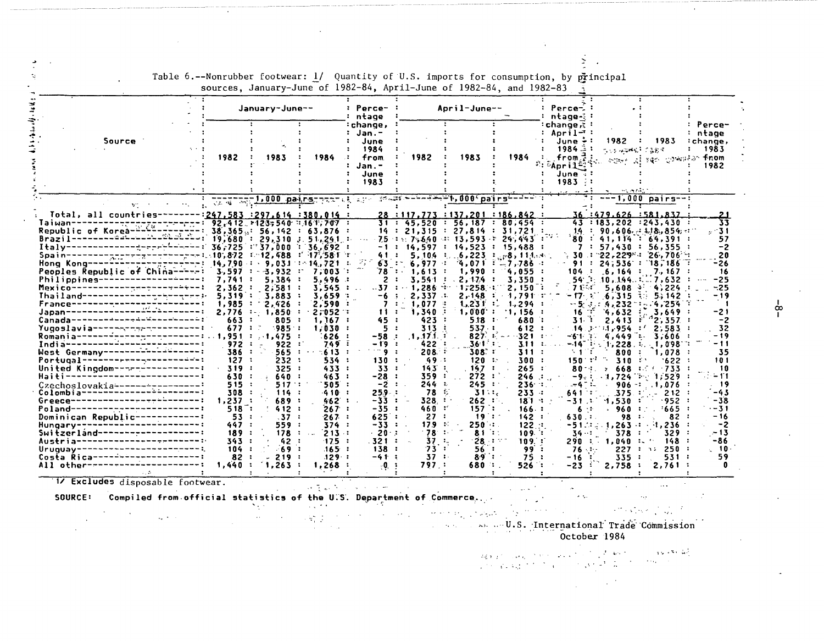|                                                                                                                         |        | January-June--         |                                    | Perce- :<br>ntage                                                  |                  | April-June--                                                  |                            | : Perce-<br>: ntage∹ :                                                                               |                                                                   |                               |                                               |
|-------------------------------------------------------------------------------------------------------------------------|--------|------------------------|------------------------------------|--------------------------------------------------------------------|------------------|---------------------------------------------------------------|----------------------------|------------------------------------------------------------------------------------------------------|-------------------------------------------------------------------|-------------------------------|-----------------------------------------------|
| Source                                                                                                                  | 1982   | 1983                   | 1984                               | :change,<br>Jan.-<br>June<br>1984<br>from<br>Jan.-<br>June<br>1983 | 1982             | 1983                                                          | 1984                       | : change点:<br>: Aprilन:<br>June ÷∶<br>1984 그<br>from 7<br><sup>2</sup> : ∘April"?<br>June ::<br>1983 | 1982<br>- 21<br>内脏 胸珊瑚 不离客户<br>$\mathcal{O}(\mathcal{O}(\log n))$ | 1983<br>all see complete from | Perce-<br>: ntage<br>:change,<br>1983<br>1982 |
|                                                                                                                         |        |                        | l,000 <u>pairs it</u> titud all    |                                                                    |                  |                                                               |                            |                                                                                                      |                                                                   | $-1,000$ pairs $-1$ :         |                                               |
| Marina di                                                                                                               | 文式の様   |                        |                                    |                                                                    |                  |                                                               |                            |                                                                                                      |                                                                   |                               |                                               |
| Total, all countries-------                                                                                             |        |                        | : 247, 583 : 297, 614 : 380, 014 : |                                                                    |                  | 28:117,773:137,201:186,842:                                   |                            | 36.                                                                                                  | :479.626:581.837:                                                 |                               | 21                                            |
| Taiwan-------------------------- 92.412 -123,540 -134,707 :<br>Republic of Korea------------ 38,365.: 56,142 : 63,876 : |        |                        |                                    | 31.                                                                | 45.520           | 56,187                                                        | : 80.454:                  | 43.                                                                                                  | : 183,202 :243,430 :                                              |                               | 33                                            |
| Brazil-------------------------                                                                                         |        |                        |                                    |                                                                    |                  | 14 : 21,315 : 27,814 : 31,721 :                               |                            |                                                                                                      | $1.4 \div 90,606.418,856.4$                                       |                               | - 31                                          |
|                                                                                                                         |        |                        |                                    |                                                                    |                  | $19.680$ : 29,310 ; 51,241 : - 75 : 7,640 : 13,593 : 24,443 : |                            | 80.                                                                                                  | $\therefore$ 41,114 $\therefore$ 64,391 $\therefore$              |                               | 57                                            |
|                                                                                                                         |        |                        | 36,692 :                           |                                                                    |                  | $-1$ : 14,597: 14,523                                         | : 15,488:                  |                                                                                                      | : 57,430 : 56,355 :                                               |                               |                                               |
| $Spin1n$ ---------------                                                                                                |        | 10,872:12,488          | : 17,581 : 1                       | 41 :                                                               | $5,104$ :        |                                                               | $.6,223$ : $.78,115,33$    |                                                                                                      | $30 : 22.229 - 23.706$                                            |                               |                                               |
| Hong Kong--------                                                                                                       |        | 14,790:9,031:14,721    |                                    | - 24                                                               | 63 : 6,977 :     | <b>4.071</b>                                                  | $-7,786$<br>$\ddot{\cdot}$ |                                                                                                      | 91:24,536:18,186                                                  |                               | -26                                           |
| Peoples Republic of China------                                                                                         | 3.597  | -3.932                 | 7.003                              | 78.                                                                | 1.613            | 1,990                                                         | 4,055:<br>- 1              | 104                                                                                                  | .6.164                                                            | 7., 167 :                     |                                               |
| Philippines-----                                                                                                        | 7.741  | 5,384                  | 5.496                              | z                                                                  | 3,541            | 2,174                                                         | 3,350 :                    |                                                                                                      | 54 3 10,144 7,632                                                 |                               | -25                                           |
| Mexico----------------------                                                                                            | 2.362  | 2:581                  | 3.545                              | - 37<br>$\ddot{\cdot}$                                             | 1,286            | 1,258<br>-:                                                   | 2.150                      | 7 E S                                                                                                | 5,608                                                             | 4,224                         | -25                                           |
| Thailand------------------                                                                                              | 5.319  | 3,883                  | 3.659                              | -6                                                                 | 2,337 :          | 2, 148                                                        | 1,791                      | - 17-                                                                                                | .6,315                                                            | 5;142<br>34                   | - 19                                          |
| France--<br>بالمحافظات                                                                                                  | 1,985  | 2,426                  | 2,590                              |                                                                    | 1,077            | 1,231                                                         | $1,294$ :                  | -- 5-                                                                                                | 3.74,232                                                          | 4.254                         |                                               |
| Japan-                                                                                                                  | 2,776  | $\ddots$ 1,850         | 2,052                              | 11:                                                                | 1,340            | 1,000:                                                        | 1,156:                     | 16                                                                                                   | 4,632                                                             | 3,649                         | $-21$                                         |
| Canada------------------                                                                                                | 663    | 805                    | 1,167:                             | 45                                                                 | 423.             | 5.18                                                          | 680:                       | 31.                                                                                                  | 2,413                                                             | 2,357. :                      |                                               |
| Yugoslavia------------                                                                                                  | 677    | 985 :<br>. .           | $1,030$ :                          | 5.                                                                 | 313              | 537:                                                          | 612                        | $\cdot$ :                                                                                            | $14.3 - 11.954$                                                   | 2,583                         |                                               |
| Romania----                                                                                                             | .951   | .475 :                 | :626 :                             | $-58:$                                                             | .1.171.          | 827:                                                          | -321                       | $-61$<br>$\cdot$ :                                                                                   | 4,449                                                             | 3.606<br>.                    | - 19                                          |
| India-                                                                                                                  | 972    | 922:                   | 749 :                              | -19 :                                                              | 422              | 361:                                                          | 3.11 L                     | $-14^{-}$                                                                                            | 1,228                                                             | 1,098                         | -11                                           |
| West Germany-------------------                                                                                         | 386    | 565.                   | $-613$ :                           | 9:                                                                 | 208 ÷            | 308.                                                          | 311:                       | $\sim$ 1                                                                                             | 800                                                               | 1,078 :                       |                                               |
| <u> Portugal----------------------:</u>                                                                                 | 127    | 232:<br>- 1            | 534:                               | 130 :                                                              | 49:              | 120:                                                          | 300:                       | 150 <sup>°</sup>                                                                                     | 310                                                               | 622 ∶                         | 101                                           |
| United Kingdom----------------                                                                                          | 319    | 325:                   | 433:                               | 33:                                                                | 143:             | 147:                                                          | 265:                       | 80.                                                                                                  | 668<br><b>SALE</b><br>$\mathbf{r}$                                | * 733<br><b>ALC</b>           |                                               |
| Haiti                                                                                                                   | 630    | 640:                   | 463:                               | -28 :                                                              | 359.             | 272<br>- 2                                                    | 246<br>-11                 | -9                                                                                                   | $-1,724$                                                          | 1;529                         | -11                                           |
| Czechoslovakia----------------                                                                                          | 515    | 517 :                  | 505:                               | $-2$ :                                                             | 244 :            | 245:                                                          | 236:                       | --41                                                                                                 | 906<br>$\ddot{\phantom{a}}$                                       | 1.076                         | - 19                                          |
| Colombia-----------------------                                                                                         | 308    | 114:<br>. .            | $-410:$                            | 25.9:                                                              | 78.              | - 65<br>31:                                                   | 233 :                      | 641                                                                                                  | 375                                                               | 212                           | $-43$                                         |
| Greece------------------------                                                                                          | 1,237: | 689 :                  | 462:                               | -33 :                                                              | $328.$ :         | 262:                                                          | $18^{\circ}1$ :            | -31                                                                                                  | $-1,530$                                                          | ·952                          | -38                                           |
| Poland-------------------                                                                                               | 518    | 412:<br>- 1            | 267:                               | -35 :                                                              | 460 <sup>:</sup> | 157:                                                          | 166:                       | $6 - 5$                                                                                              | 960                                                               | 566؛                          | $-31$                                         |
| Dominican Republic------------                                                                                          | 53.    | .37:<br>$\ddot{\cdot}$ | 267:                               | 625:                                                               | 27 :             | 19:                                                           | 142 :                      | 630:                                                                                                 | 98                                                                | 82.<br>$\ddotsc$              | - 16                                          |
| Hungary--------------------                                                                                             | 447.   | 559:<br>- :            | 374:                               | $-33$ :                                                            | $17.9$ :         | $250$ $\cdot$                                                 | 122:                       |                                                                                                      | $-51:1:1,263:1$                                                   | $-1,236$                      |                                               |
| Switzerland----------------                                                                                             | 189    | 178:                   | 213:                               | $-20$ :                                                            | 78 :             | 81:                                                           | 109.                       | $34 \cdot$ :                                                                                         | 378                                                               | 329                           | $-13$                                         |
| Austria-------------------                                                                                              | 343    | 42 :                   | 175:                               | 321:                                                               | $37 - 1$         | 28 ÷ ∵ °                                                      | 109:                       |                                                                                                      | 290:1,040                                                         | 148 :<br>$\ddotsc$            | -86                                           |
| Uruguay-------------------                                                                                              | 104    | $-69$ :                | .165:                              | 138:                                                               | 73.              | 56 :                                                          | 99 :                       | 76 - F                                                                                               | 227<br>-7                                                         | 250:<br><b>CONTRACTOR</b>     | 10 <sup>1</sup>                               |
| Costa Rica---------------                                                                                               | 82     | 219:                   | 129:                               | $-41$ :                                                            | 37:              | 89:                                                           | 75 :                       | - 16                                                                                                 | 335                                                               | 531:                          |                                               |
| All other-                                                                                                              | 1,440  | 1,263                  | $1,268$ :                          | O,                                                                 | 797:             | 680                                                           | 526                        | $-23$                                                                                                | 2,758                                                             | 2,761:                        |                                               |

Table 6.--Nonrubber footwear:  $1/$  Quantity of U.S. imports for consumption, by principal<br>sources. January-June of 1982-84. April-June of 1982-84. and 1982-83

 $\sim$ 

 $\mathcal{L}^{\text{max}}_{\text{max}}$  and  $\mathcal{L}^{\text{max}}_{\text{max}}$ 

SOURCE: Compiled from official statistics of the U.S. Department of Commerce. and the company of the second company of the company of the company of the company of the company of the company

 $\sigma$  and  $\alpha$  ,  $\beta$  ,  $\gamma$ 

 $\sim$ 

 $\sum_{i=1}^n \alpha_i$ 

and the community of the community of the community of the community of the community of the community of the c<br>Community of the community of the community of the community of the community of the community of the communit **Carl Contract** October 1984

 $\sim 10^7$ 

 $\begin{split} \left\langle \partial_{\theta} \phi(\eta) \right\rangle & = \left\langle \phi(\eta) \right\rangle \left\langle \gamma(\eta) \right\rangle = \left\langle \phi(\eta) \right\rangle \left\langle \gamma(\eta) \right\rangle \left\langle \gamma(\eta) \right\rangle \left\langle \gamma(\eta) \right\rangle = \left\langle \gamma(\eta) \right\rangle \left\langle \gamma(\eta) \right\rangle \left\langle \alpha(\eta) \right\rangle \\ & = \left\langle \gamma(\eta) \right\rangle \left\langle \gamma(\eta) \right\rangle \left\langle \gamma(\eta) \right\rangle \left\langle \gamma(\eta) \right\rangle = \left\langle \gamma(\eta) \right\rangle \left\langle \gamma$ 

 $\sim 100$ 

 $\frac{1}{2}$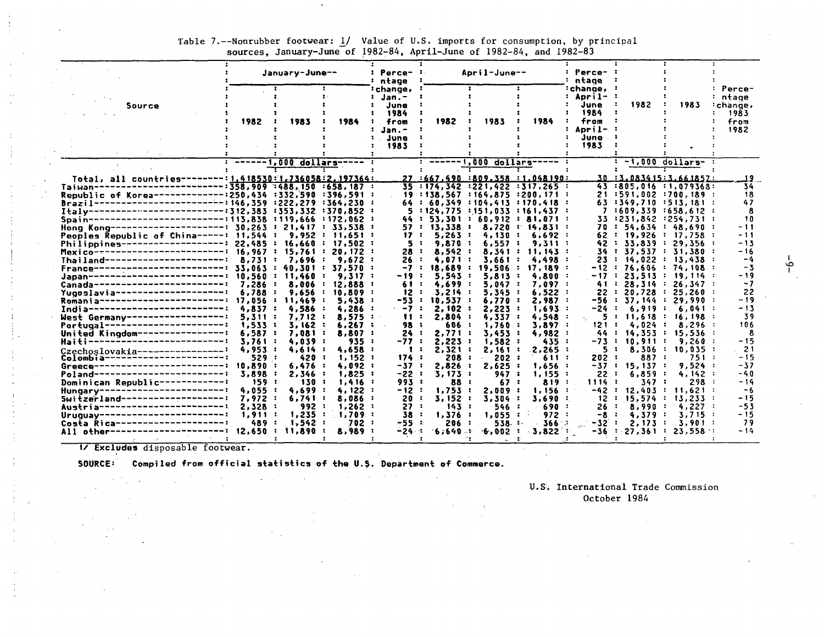|                                                                |            | January-June-- |                               | Perce-<br>ntage                                             |                                       | April-June--        |               | : Perce-<br>: ntage                                            |                |                                 |                                                       |
|----------------------------------------------------------------|------------|----------------|-------------------------------|-------------------------------------------------------------|---------------------------------------|---------------------|---------------|----------------------------------------------------------------|----------------|---------------------------------|-------------------------------------------------------|
| Source                                                         | 1982       | 1983           | 1984                          | : change,<br>Jan.-<br>June<br>1984<br>from<br>Jan.-<br>June | 1982                                  | 1983                | 1984          | :change,<br>April- :<br>June<br>1984<br>from<br>April-<br>June | 1982           | 1983                            | Perce-<br>: ntage<br>:change,<br>1983<br>from<br>1982 |
|                                                                |            |                |                               | 1983                                                        |                                       |                     |               | 1983                                                           |                |                                 |                                                       |
|                                                                |            |                | 1,000 dollars-----            |                                                             |                                       | $,000$ dollars----- |               |                                                                |                | $-1,000$ dollars- :             |                                                       |
| Total, all countries---------: 1.418530:1.736058:2.197364:     |            |                |                               |                                                             | 27:667,990:809.358:1.048190:          |                     |               |                                                                |                | 30 : 3.083415 : 3.661857 :      | 12.                                                   |
| Taiwan-                                                        |            |                | -:358,909 :488,150 :658,187 : |                                                             | 35 : 174, 342 : 221, 422 : 317, 265 : |                     |               |                                                                |                | 43 :805.016 :1.079368:          | 34                                                    |
| Republic of Korea-------------1250,434 :332,590 :396,591 :     |            |                |                               |                                                             | 19 : 138,567 : 164,875 : 200,171 :    |                     |               |                                                                |                | 21:591.002:700.189:             | 18                                                    |
|                                                                |            |                |                               |                                                             | 64 : 60,349 : 104,413 : 170,418 :     |                     |               |                                                                |                | $63$ : 349, 710 : 513, 181 :    | 47                                                    |
|                                                                |            |                |                               |                                                             | :124,775 :151,033 :161,437 :          |                     |               |                                                                |                | :609,339:658,612:               | 8                                                     |
| Soain------------------------------113,838 :119,666 :172,062 : |            |                |                               |                                                             | 44 : 53,301 : 60,912 : 81,071 :       |                     |               |                                                                |                | 33 :231,842 :254,731 :          | 10                                                    |
| Hong Kong----------------------: 30,263 : 21,417 : 33,538 :    |            |                |                               | 57.                                                         | $13,338$ :<br>к.                      |                     | 8,720:14,831: |                                                                |                | 70:54,634:48,690:               | - 11                                                  |
| Peoples Republic of China-----: 11,544 :                       |            | 9,952:         | 11,651:                       | 17.                                                         | 5,263:<br>- 3                         | 4,130               | 6,692:<br>. . |                                                                |                | 62:19,926:17,758:               | - 11                                                  |
| Philippines--------------------- 22,485 :                      |            |                | 16,660 : 17,502 :             | 5                                                           | 9.870<br>- 2                          | 6,557:              | 9.311:        |                                                                |                | 42 : 33,839 : 29,356 :          | - 13                                                  |
| Mexico--                                                       |            | 15.761<br>- 2  | 20,172:<br>- 3                | 28.                                                         | 8.542:<br>- :                         | 8,341               | 11.143:       |                                                                |                | 34 : 37.537 : 31.380 :          | - 16                                                  |
| Thailand-----------------------:                               | 8,731      | 7.696          | 9,672:                        | 26.                                                         | 4,071<br>- :                          | 3,661               | 4,498 :       | 23                                                             | . .            | 14.022 : 13.438 :               | -4                                                    |
| France----------------------------- 33,063 :                   |            | 40.301         | 37.570 :                      | -7                                                          | 18.689 :<br>- :                       | 19.506              | 17.189:       | -12 :                                                          | 76,606         | 74.108.<br>$\ddot{\phantom{a}}$ | -3                                                    |
| Japan-----------------------                                   | $10,560$ : | 11,460         | 9,317:                        | - 19                                                        | 5.543:                                | 5,813               | $4,800$ :     | $-17$ :                                                        |                | $23,513$ : 19,114 :             | - 19                                                  |
|                                                                |            | - :            |                               |                                                             | 4,699 :                               |                     | 7.097 :       | 41 :                                                           |                | 28.314 : 26.347 :               | -7                                                    |
| Canada−∙                                                       | 7.286      | 8.006          | 12,888 :                      | 61                                                          |                                       | 5,047               |               |                                                                |                | : 20.728 : 25.260 :             | 22                                                    |
| Yugoslavia--------------------:                                | 6.788      | 9.656<br>- 3   | 10.809 :<br>- 3               | 12                                                          | 3.214:<br>-3                          | 5.345               | 6.522:        | 22.                                                            |                |                                 | - 19                                                  |
| Romania------------------------: 17,056 :                      |            | 11,469 :       | 5.438 :                       | -53                                                         | 10.537<br>- :                         | 6,770               | 2,987         | -56                                                            |                | : 37,144 : 29,990 :             |                                                       |
| India---------------------------                               | 4,837:     | 4.586          | 4.286:                        | $-7$                                                        | 2,102                                 | 2,223               | 1.693 :       | -24                                                            | 6.919          | 6,041:                          | - 13                                                  |
| West Germany-------------------                                | 5.311:     | 7,712:         | 8.575:                        | 11.                                                         | 2.804<br>- 3                          | 4,337               | 4,548:        |                                                                | 5:11.618:      | 16.198 :                        | 39                                                    |
| <b>Portugal----------------------:</b>                         | 1,533:     | 3, 162         | $6,267$ :                     | 98.                                                         | 606 :<br>- 3                          | 1,760               | 3,897 :       | 12 I :                                                         | $4,024$ :      | 8.296 :                         | 106                                                   |
| United Kingdom----------------                                 | 6.587 :    | 7.081 :        | 8,807 :                       | 24.                                                         | 2.771:<br>- :                         | 3,453               | 4,982:<br>- 3 | 44                                                             |                | 14.353:15.536:                  | 8                                                     |
| Haiti                                                          | 3,761      | 4.039          | 935 :                         | -77                                                         | 2,223<br>. .                          | 1,582               | 435:          | -73 :                                                          | $10,911$ :     | 9.260:                          | $-15$                                                 |
| Czechoslovakia-------------                                    | 4,953:     | 4.614 :        | 4.658:                        |                                                             | 2.321<br>- 3                          | 2,161 :             | $2,265$ :     | 5.                                                             | 8.306          | 10.035:                         | 21                                                    |
| ------------<br>Colombia-                                      | 529:       | 420            | 1.152:<br>- 1                 | 174 :                                                       | 208 :                                 | 202:                | 611:          | 202 :                                                          | 887 :          | 751 :                           | -15                                                   |
| Greece----------------------                                   | 10,890     | 6,476          | 4,092:                        | -37 :                                                       | 2,826                                 | 2,625               | $1,656$ :     |                                                                | -37 : 15,137 : | 9,524:                          | $-37$                                                 |
| Poland-------------------------                                | 3,898:     | 2,346:         | 1,825:                        | $-22:$                                                      | 3.173:                                | 947 :               | $1,155$ :     | 22.                                                            | 6,859:         | 4,142:                          | $-40$                                                 |
| Dominican Republic------------                                 | 159.       | 130:           | $1,416$ :                     | 993 :                                                       | 88 :                                  | 67 :                | 819 :         | 1114 :                                                         | 347 :          | 298. :                          | - 14                                                  |
| Hundarv                                                        | 4,055      | 4,699          | 4,122 :                       | $-12$ :                                                     | 1.753:                                | 2.009               | $1,156$ :     | -42                                                            | 12.403         | 11.621:                         | -6                                                    |
| Switzerland--------------------                                | 7.972 :    | 6.741 :        | 8,086 :                       | 20                                                          | 3.152:<br>- 1                         | 3,304 :             | 3,690:        | 12                                                             |                | 15.574 : 13.233 :               | - 15                                                  |
| Austria-                                                       | 2,328      | 992 :          | 1.262:                        | 27:                                                         | 143:                                  | 546                 | 690 :         | 26                                                             | 8,990 :        | 4,227:                          | $-53$                                                 |
| Uruguay---------------------                                   | 1,911:     | 1,235:         | 1,709 :                       | 38:                                                         | $1,376$ :                             | $1,055$ :           | 972:          | -8                                                             | 4.379 :<br>. . | 3.715:                          | - 15                                                  |
| Costa Rica---------------------                                | 489        | 1,542:         | 702 :                         | -55 :                                                       | 206 :                                 | 538.                | 366 :         | -321                                                           | 2.173:         | 3.901:                          | -79                                                   |
| All other-                                                     | 12,650:    | 11,890         | 8,989:                        | $-24 -$                                                     | $-6.3640 - 5$                         | $-6,002$ :          | -3,822 :      | -36                                                            | $-27.361$      | 23,558                          | - 14                                                  |
|                                                                |            |                |                               |                                                             |                                       |                     |               |                                                                |                |                                 |                                                       |

Table 7.--Nonrubber footwear: 1/ Value of U.S. imports for consumption, by principal sources, January-June of 1982-84, April-June of 1982-84, and 1982-83

1/ Excludes disposable footwear.

SOURCE: Compiled from official statistics of the U.S. Department of Commerce.

U.s:. International Trade Commission October 1984

I *\D*  I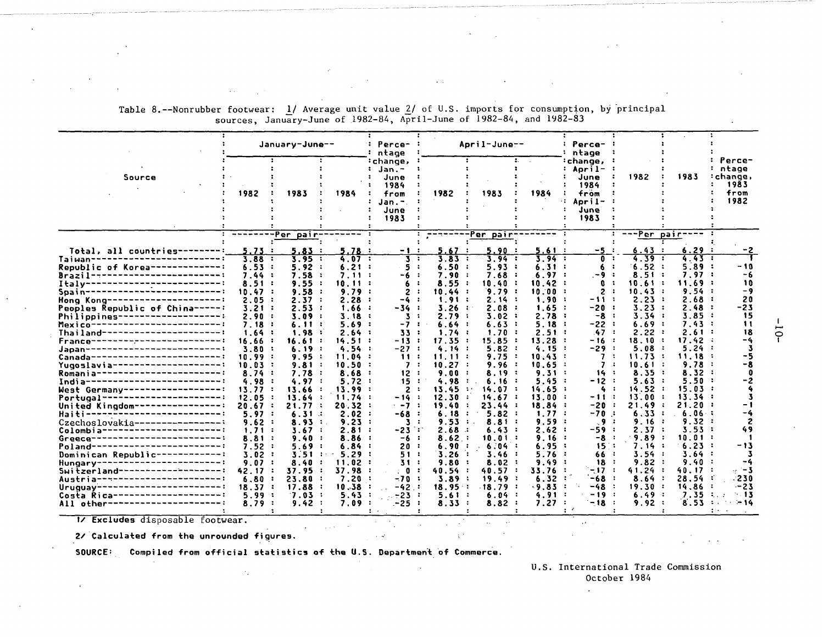| Source                                                         | 1982           | January-June--<br>1983 | 1984            | Perce-<br>: ntage<br>:change,<br>Jan.-<br>June<br>1984<br>from<br>к. | 1982                   | April-June--<br>1983 | ٠.<br>1984      | Perce-<br>: ntage<br>:change,<br>April- :<br>June<br>1984<br>from | 1982            | 1983            | : Perce-<br>: ntage<br>:change,<br>1983<br>from |
|----------------------------------------------------------------|----------------|------------------------|-----------------|----------------------------------------------------------------------|------------------------|----------------------|-----------------|-------------------------------------------------------------------|-----------------|-----------------|-------------------------------------------------|
|                                                                |                |                        |                 | Jan.-.<br>June<br>1983                                               |                        |                      |                 | April-<br>June<br>1983                                            |                 |                 | 1982                                            |
|                                                                |                | Per pair               |                 |                                                                      |                        | Per pair             |                 |                                                                   |                 | Per pair-       |                                                 |
| Total, all countries------                                     | 5.73:          | 5.83:                  | 5.78:           | -1:                                                                  | 5.67 :                 | 5.90:                | 5.61 :          | -5                                                                | 6.43:           | 6.29:           | -2                                              |
| Taiwan                                                         | 3.88:<br>6.53: | 3.95:<br>5.92:         | 4.07:<br>6.21:  | 3.<br>5.                                                             | 3.83:<br>6.50:         | 3.94:<br>5.93:       | 3.94:<br>6.31:  | $\mathbf{0}$<br>- :<br>6                                          | 4.39:<br>6.52:  | 4.43:<br>5.89:  | $-10$                                           |
| Republic of Korea---------<br>------------<br>Brazil--         | 7.44:          | 7.58:                  | 7.11:           | -6                                                                   | 7.90 :                 | 7.68:                | 6.97:           | $-9$<br>- :                                                       | 8.51:           | 7.97:           | $-6$                                            |
| Italv-------------                                             | 8.51:          | 9.55:                  | 10.11:          | 6                                                                    | 8.55:                  | 10.40:               | 10.42:          | O                                                                 | 10.61:          | 11.69:          | 10                                              |
| Spain                                                          | 10.47:         | 9.58                   | 9.79:           | $\mathbf{z}$                                                         | 10.44:                 | 9.79                 | 10.00 :         | 2                                                                 | 10.43:          | 9.54:           | -9                                              |
| Hong Kong---------------------                                 | 2.05:          | 2.37:                  | 2.28:           | $-4:$                                                                | 1.91:                  | 2.14 :               | 1.90:           | -11<br>. .                                                        | 2.23:           | 2.68:           | 20                                              |
| Peoples Republic of China-----:                                | 3.21:          | 2.53:                  | 1.66:           | $-34$ :                                                              | 3.26:                  | 2.08:                | 1.65:           | -20 :                                                             | 3.23:           | 2.48:           | $-23$                                           |
| Philippines-----------------                                   | 2.90:          | 3.09:                  | 3.18:           | 3:                                                                   | 2.79:                  | 3.02:                | 2.78:           | -8<br>- :                                                         | 3.34:           | 3.85:           | 15                                              |
| Mexico---------------------                                    | 7.18           | 6.11 :                 | 5.69 :          | -7:                                                                  | 6.64:                  | 6.63                 | 5.18 :          | $-22:$                                                            | 6.69:           | 7.43 :          | $\mathbf{11}$<br>18                             |
| Thailand-----------------                                      | 1.64:<br>16.66 | 1.98<br>16.61          | 2.64:<br>14.51: | 33:<br>$-13$ :                                                       | 1.74:<br>17.35:        | 1.70<br>15.85:       | 2.51:<br>13.28: | .47:<br>$-16$ :                                                   | 2.22:<br>18.10: | 2.61:<br>17.42: | -4                                              |
| France----------------------<br>Japan-                         | 3.80:          | 6.19:                  | 4.54:           | -27 :                                                                | 4.14:                  | 5.82                 | 4.15:           | $-29:$                                                            | 5.08            | 5.24:           | 3                                               |
| -----------------<br>Canada-                                   | 10.99:         | 9.95:                  | 11.04:          | 11:                                                                  | 11.11:                 | 9.75:                | 10.43:          | 7:                                                                | 11.73:          | 11.18:          | $-5$                                            |
| Yugoslavia------------------                                   | 10.03:         | 9.81:                  | 10.50:          | 7:                                                                   | 10.27:                 | 9.96                 | 10.65:          | 7:                                                                | 10.61:          | 9.78:           | $-8$                                            |
| Romania---------------------                                   | 8.74:          | 7.78<br>:              | 8.68 :          | 12 <sup>12</sup><br>- 2                                              | 9.00:                  | 8.19:                | 9.31:           | 14:                                                               | 8.35:           | 8.32:           |                                                 |
| India<br>--------------------                                  | 4.98           | 4.97<br>. .            | 5.72:           | 15.<br>$\cdot$ :                                                     | 4.98                   | 6.16:                | 5.45 :          | $-12$ :                                                           | 5.63:           | 5.50:           | -2                                              |
| West Germany-------------------                                | 13.77          | 13.66                  | 13.99:          | $\mathbf{2}$                                                         | 13.45                  | 14.07 :              | 14.65:          | 4                                                                 | 14.52:          | 15.03:          | $\ddot{\bullet}$                                |
| Portugal---------------------                                  | 12.05:         | 13.64<br>. .           | 11.74:          | - 14                                                                 | 12.30                  | 14.67:               | 13.00:          | -11                                                               | 13.00           | 13.34:          | 3                                               |
| United Kingdom---------------                                  | 20.67:         | 21.77:                 | 20.32:          | --7:                                                                 | 19.40                  | 23.44 :              | 18.84:          | $-20$ :                                                           | 21.49:          | 21.20:          |                                                 |
| Haiti                                                          | 5.97:          | 6.31:                  | 2.02:           | $-68$ :                                                              | 6.18<br>$\ddot{\cdot}$ | 5.82:                | 1.77:           | $-70$ :                                                           | 6.33:           | 6.06:           | -4                                              |
| Czechoslovakia-----------------                                | 9.62:          | 8.93:                  | 9.23:           | 3.<br>. .                                                            | 9.53 :                 | 8.81:                | 9.59:<br>2.62:  | - 9<br>$-59:$                                                     | 9.16<br>2.37:   | 9.32:<br>3.53:  | 49                                              |
| Colombia-<br>-----------------<br>Greece---------------------- | 1.71:<br>8.81: | 3.67<br>9.40:          | 2.81:<br>8.86   | $-23$ :<br>-6<br>. .                                                 | 2.68<br>- . 2<br>8.62: | 6.43:<br>10.01:      | 9.16 :          | -8                                                                | 9.89:           | 10.01:          |                                                 |
| -------------------<br><b>Poland-</b>                          | 7.52:          | 5.69:                  | 6.84:           | 20:                                                                  | 6.90                   | $6:04$ :             | 6.95:           | $15$ :                                                            | 7.14.           | 6.23:           | $-13$                                           |
| Dominican Republic---------                                    | 3.02:          | 3.51<br>- :            | 5.29:           | 51:                                                                  | 3.26                   | 3.46:                | 5.76 :          | 66<br>. .                                                         | 3.54:           | 3.64:           |                                                 |
| Hungary-                                                       | 9.07:          | 8.40<br>- :            | 11.02:          | 31 :                                                                 | 9.80                   | 8.02 :               | 9.49:           | 18                                                                | 9.82 :          | 9.40:           | -4                                              |
| Switzerland---------------                                     | 42.17:         | 37.95<br>. .           | 37.98:          | $\mathbf 0$                                                          | 40.54:                 | 40.57:               | 33.76:          | $-17$ :                                                           | 41.24:          | 40.17:          | $\sim -3$                                       |
| Austria--------------------                                    | 6.80:          | 23.80<br>÷             | 7.20            | $-70$                                                                | 3.89:                  | 19.49:               | 6.32            | -68                                                               | 8.64            | 28.54:          | 230                                             |
| Uruguay----------------------                                  | 18.37:         | 17.88:                 | 10.38           | $-42:$                                                               | 18.95:                 | $-18.79$ :           | $-9.83:$        | $-48$<br>$\ddot{\phantom{1}}$                                     | 19.30:          | 14.86:          | $-23$                                           |
| ------------<br>Costa Rica-                                    | 5.99:          | 7.03:                  | 5.43            | $-23$ :                                                              | 5.61:                  | 6.04:                | 4.91:           | $-19$ :                                                           | 6.49:           | 7.35            | $+13$                                           |
| All other--                                                    | 8.79:          | 9.42:                  | 7.09:           | $-25$                                                                | 8.33:                  | 8.82:                | 7.27            | $-18$ :<br>- -                                                    | 9.92:           | 8.53            | $\frac{1}{2}$ – 14<br>- 1 - 1                   |

 $\sim$   $\sim$ 

 $\mathcal{L}^{\mathcal{A}}$ 

### Table 8.--Nonrubber footwear:  $\underline{1}$ / Average unit value  $\underline{2}$  of U.S. imports for consumption, by principal sources, January-June of 1982-84, April-June of 1982-84, and 1982-83

t/ Excludes disposable footwear.

2/ Calculated from the unrounded figures.

SOURCE: Compiled from official statistics of the U.S. Department of Commerce.

U.S. International Trade Commission October 1984

 $\mathcal{A}^{\mathcal{A}}$ 

 $\ddot{\phantom{a}}$ 

 $-10-$ ငှ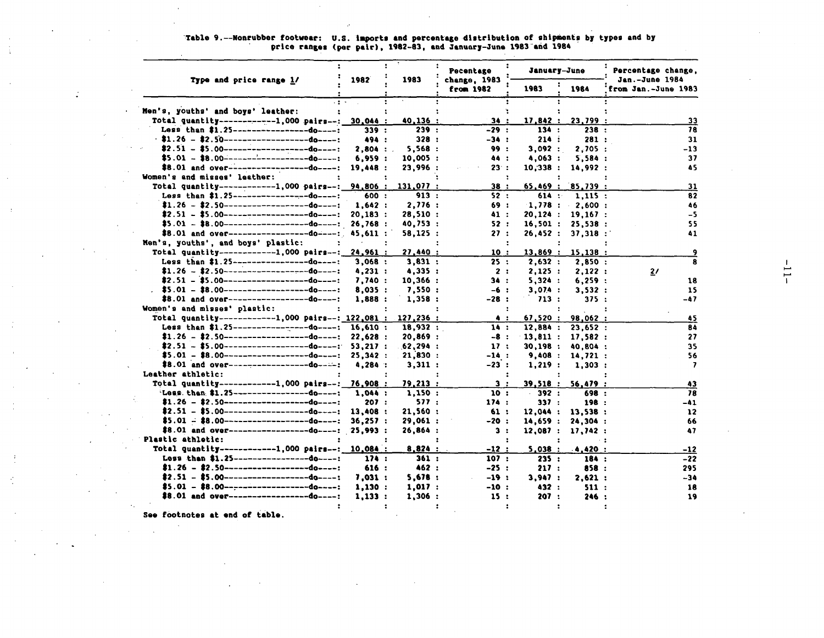|                                                                                        |                  |            | Pecentage                 | January-June |            | Percentage change,                           |
|----------------------------------------------------------------------------------------|------------------|------------|---------------------------|--------------|------------|----------------------------------------------|
| Type and price range 1/                                                                | 1982             | 1983       | change, 1983<br>from 1982 | 1983         | 1984       | <b>Jan.-June 1984</b><br>from Jan.-June 1983 |
|                                                                                        | $\sim$ 10 $\sim$ |            |                           |              |            |                                              |
| Men's, youths' and boys' leather:                                                      |                  |            |                           |              |            |                                              |
| Total quantity------------1,000 pairs--: 30,044 :                                      |                  | 40.136:    | 34 :<br>-29 :             | 17.842 :     | 23,799:    | 33<br>78                                     |
| Less than \$1.25------------------do----:<br>$-1.26 - 2.50$ -------------------do----: | 339:             | 239 :      |                           | 134:         | 238 :      |                                              |
|                                                                                        | 494 :            | 328:       | $-34:$                    | 214:         | 281 :      | 31                                           |
| $$5.01 - $8.00$ -----------------------do----:                                         | 2.804:           | 5,568 :    | 99:                       | 3.092:       | 2,705:     | $-13$                                        |
|                                                                                        | 6,959 :          | $10,005$ : | 44 :                      | 4,063:       | 5,584 :    | 37                                           |
| \$8.01 and over-------------------do----:                                              | 19.448 :         | 23,996 :   | 23:                       | 10,338:      | 14,992:    | 45                                           |
| Women's and misses' leather:                                                           |                  |            | ÷                         |              |            |                                              |
| Total quantity-------------1.000 pairs--:                                              | 94,806 :         | 131.077:   | 38 :                      | 65.469 :     | 85.739:    | 31                                           |
| Less than \$1.25-----------------do----:                                               | 600:             | 913:       | 52:                       | 614 :        | 1,115:     | 82                                           |
| $$1.26 - $2.50---------------d0---:$                                                   | 1.642:           | 2,776:     | 69 :                      | 1.778:       | $-2,600$ : | 46                                           |
| $$2.51 - $5.00$ --------------------do----:                                            | 20,183:          | 28.510 :   | 41 :                      | 20.124:      | 19.167:    | -5                                           |
|                                                                                        | 26.768:          | 40,753 :   | 52 :                      | $16,501$ :   | 25,538:    | 55                                           |
| \$8.01 and over--------------------do-----                                             | 45,611 :         | 58,125:    | 27 :                      | 26,452 :     | 37,318:    | 41                                           |
| Men's, youths', and boys' plastic:                                                     |                  |            | ÷                         |              |            |                                              |
| $Total$ quantity------------1.000 pairs--:                                             | 24.961:          | 27.440 :   | 10:                       | 13,869:      | 15,138:    | 9                                            |
| Less than \$1.25------------------do----:                                              | 3.068:           | 3.831 :    | 25 :                      | 2,632:       | 2,850:     | 8                                            |
|                                                                                        | 4.231:           | 4.335 :    | 2:                        | 2,125:       | 2.122:     | 21                                           |
| $$2.51 - $5.00$ --------------------do----:                                            | 7.740:           | 10.366 :   | 34 :                      | 5,324:       | 6.259:     | 18                                           |
| $$5.01 - $8.00$ -------------------do----:                                             | 8.035:           | 7.550:     | $-6:$                     | 3,074 :      | 3.532 :    | 15                                           |
| \$8.01 and over-------------------do----:                                              | 1,888:           | 1,358:     | -28 :                     | 713:         | 375:       | -47                                          |
| Women's and misses' plastic:                                                           |                  |            |                           |              |            |                                              |
| Total quantity------------1,000 pairs--: 122,081 :                                     |                  | 127,236:   | 4 :                       | 67,520:      | 98.062 :   | 45                                           |
| Less than \$1.25-------------------do----: 16,610 :                                    |                  | 18,932:    | 14 :                      | 12,884 :     | 23,652:    | 84                                           |
| $$1.26 - $2.50-------------10---:$                                                     | 22.628:          | 20,869:    | $-8:$                     | 13,811:      | 17,582:    | 27                                           |
| $$2.51 - $5.00------------10---1$                                                      | 53.217 :         | 62.294:    | 17:                       | 30.198:      | 40.804 :   | 35                                           |
|                                                                                        | 25,342 :         | 21,830 :   | $-14:$                    | 9,408:       | 14.721:    | 56                                           |
| \$8.01 and over--------------------do-----:                                            |                  |            |                           |              |            |                                              |
|                                                                                        | $4,284$ :        | 3,311:     | -23 :                     | 1,219:       | 1,303:     | 7                                            |
| Leather athletic:                                                                      |                  |            |                           |              |            |                                              |
| Total quantity------------1.000 pairs--: 76.908 :                                      |                  | 79,213:    | 3:                        | 39,518:      | 56,479:    | 43                                           |
| Less than \$1.25-----------------do----:                                               | 1.044:           | 1,150:     | 10:                       | 392:         | 698 :      | 78                                           |
| $$1.26 - $2.50------------0---2$                                                       | 207 :            | 577 :      | 174:                      | 337 :        | 198 :      | -41                                          |
| \$2.51 - \$5.00--------------------do----:                                             | 13,408:          | 21,560:    | 61 :                      | 12.044:      | 13.538:    | 12                                           |
|                                                                                        | 36.257 :         | 29,061 :   | $-20:$                    | 14.659:      | 24,304 :   | 66                                           |
| \$8.01 and over-------------------do----:                                              | 25.993 :         | 26,864 :   | 3:                        | 12,087:      | 17.742:    | 47                                           |
| Plastic athletic:                                                                      |                  |            | ÷                         |              |            |                                              |
| Total quantity------------1,000 pairs--: 10,084 :                                      |                  | 8.824 :    | $-12:$                    | 5,038:       | 4,420:     | -12                                          |
| Less than \$1.25------------------do----:                                              | 174:             | 361:       | 107:                      | 235:         | 184 :      | $-22$                                        |
|                                                                                        | 616:             | 462:       | $-25:$                    | 217:         | 858 :      | 295                                          |
| \$2.51 - \$5.00---------------------do----:                                            | 7.031 :          | 5,678 :    | $-19:$                    | 3.947:       | 2,621:     | -34                                          |
|                                                                                        |                  |            |                           |              |            |                                              |
| $$5.01 - $8.00$ ----------------------do----:                                          | 1.130:           | 1.017:     | $-10:$                    | 432 :        | 511:       | 18                                           |

# Table 9.--Nonrubber footwear: U.S. imports and percentage distribution of shipments by types and by<br>price ranges (per pair), 1982-83, and January-June 1983 and 1984

See footnotes at end of table.

 $-11-$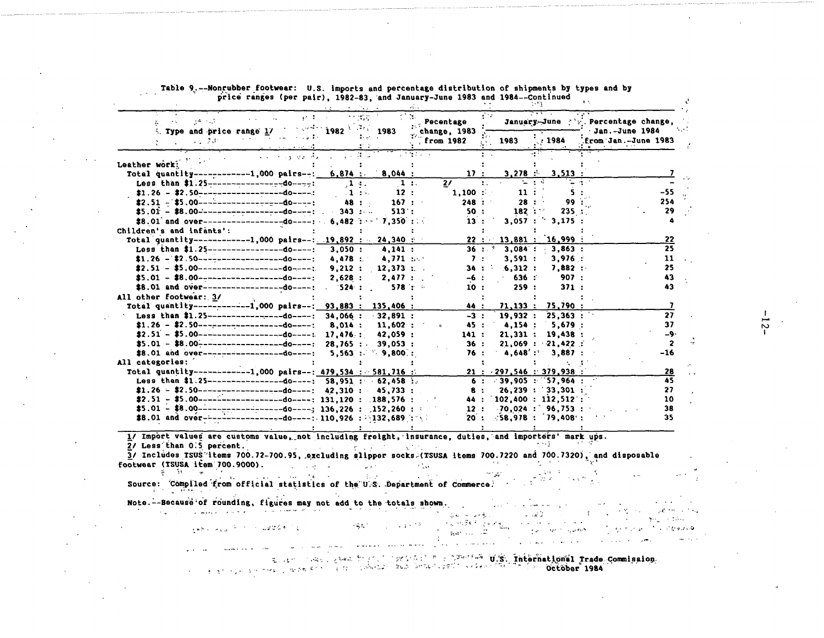|                 | in Sir | $\mathcal{A}(\mathcal{A})$ and $\mathcal{A}(\mathcal{A})$<br>Type and price range $1/$ 1982 $1/$ 1983 | $\alpha=2$ , $\alpha=1$             |                               | $\gamma$ , $\gamma$ , $\gamma$ |                    | Pecentage<br>change, 1983 |             |                          |     | .                 | January-June (1). Percentage change,<br><b>Jan.-June 1984</b> |              |
|-----------------|--------|-------------------------------------------------------------------------------------------------------|-------------------------------------|-------------------------------|--------------------------------|--------------------|---------------------------|-------------|--------------------------|-----|-------------------|---------------------------------------------------------------|--------------|
|                 |        | $\sim 10^{11}$ km                                                                                     | i Zom mosaic sa sa ta               |                               | 出文                             | 1999 P             | from 1982                 |             | 1983                     |     | 1984              | <b>:From Jan.-June 1983</b>                                   |              |
| Leather work:   |        |                                                                                                       | المكافئة والمراري والمحاوي والمراري |                               |                                |                    |                           |             |                          |     |                   |                                                               |              |
|                 |        | Total quantity------------1,000 pairs--: 6,874 : 8,044 :                                              |                                     |                               |                                |                    | 17:                       |             |                          |     | 3,278: 3,513:     |                                                               |              |
|                 |        | Less than \$1.25------------------do-----:                                                            |                                     | $\mathbf{1}$ and $\mathbf{1}$ |                                | $\mathbf{1}$       | 21                        | $2.1 - 1.1$ |                          | 仙王彦 |                   |                                                               |              |
|                 |        |                                                                                                       |                                     |                               |                                | $13.3$ $12.3$      | 1,100:                    |             | 11:                      |     |                   |                                                               | $-55$        |
|                 |        | $$2.51 - $5.00$ -------------------do----:                                                            |                                     | $-48$ : $-$                   |                                | 167:               | 248:                      |             | 28:                      |     | 99.               |                                                               | 254          |
|                 |        | \$5.01 - \$8.00--------------------do----: 343 : .                                                    |                                     |                               |                                | 513:               | 50:                       |             | 182:                     |     | 235:              |                                                               | 29           |
|                 |        | \$8.01 and over------------------------------ 6,482 : 7,350 :                                         |                                     |                               |                                |                    | 13:                       |             |                          |     | 3,057 : 3,175 :   |                                                               |              |
|                 |        | Children's and infants':                                                                              |                                     |                               |                                |                    |                           |             |                          |     |                   |                                                               |              |
|                 |        | Total quantity------------1,000 pairs--: 19,892 : 24,340 :                                            |                                     |                               |                                |                    |                           |             | 22 : 13,881 : 16,999 :   |     |                   |                                                               | 22           |
|                 |        | Less than \$1.25 --------------------do----;                                                          |                                     |                               |                                | 3,050: 4,141:      |                           |             | 36 : 3,084 : 3,863 :     |     |                   |                                                               | 25           |
|                 |        | \$1.26 - \$2.50 ---------------------do----:                                                          |                                     | 4.478                         |                                | 4,771              | 7:                        |             | 3,591:                   |     | 3,976:            |                                                               | 11           |
|                 |        |                                                                                                       |                                     |                               |                                | $9,212$ : 12,373 : |                           |             | 34:6.312:                |     | 7.882:            |                                                               | 25           |
|                 |        | $$5.01 - $8.00$ ---------------------do----:                                                          |                                     | 2.628:                        |                                | 2.477:             | $-6$ :                    |             | $-636$ :                 |     | 907:              |                                                               | 43           |
|                 |        | \$8.01 and over------------------do----: 524 :                                                        |                                     |                               |                                | $578 -$            | 10:                       |             | 259:                     |     | 371:              |                                                               | 43           |
|                 |        | All other footwear: 3/                                                                                |                                     |                               |                                |                    |                           |             |                          |     |                   |                                                               |              |
|                 |        | Total quantity------------1,000 pairs--: 93,883 : 135,406 :                                           |                                     |                               |                                |                    |                           | 44 :        | 71,133 : 75,790 :        |     |                   |                                                               |              |
|                 |        | Less than \$1.25------------------do----: 34.066 : 32.891 :                                           |                                     |                               |                                |                    | $-3$ :                    |             | 19,932 : 25,363 :        |     |                   |                                                               | 27           |
|                 |        |                                                                                                       |                                     |                               |                                | 8.014 : 11.602 :   | 45 :                      |             | 4.154:5.679:             |     |                   |                                                               | 37           |
|                 |        | $$2.51 - $5.00$ ---------------------do----: 17,476;:                                                 |                                     |                               |                                | 42,059 :           | 141:                      |             |                          |     | 21,331 : 19,438 : |                                                               | -9.          |
|                 |        | $$5.01 - $8.00$ --------------------do----; 28.765 :                                                  |                                     |                               |                                | 39,053:            | 36:                       |             |                          |     | 21.069 : 21.422 : |                                                               | $\mathbf{z}$ |
|                 |        | \$8.01 and over--------------------do-----:                                                           |                                     |                               |                                | 5,563 : 9,800 :    | 76:                       |             | $4,648$ : 3,887          |     |                   |                                                               | $-16$        |
| All categories: |        |                                                                                                       |                                     |                               |                                |                    |                           |             |                          |     |                   |                                                               |              |
|                 |        | Total quantity------------1,000 pairs--: 479,534 : 581,716 :                                          |                                     |                               |                                |                    |                           |             | 21 : 297,546 : 379,938 : |     |                   |                                                               | 28           |
|                 |        | Less than \$1.25-------------------do----: 58,951 : 62,458 is                                         |                                     |                               |                                |                    |                           |             | 6: 39,905: 57,964:       |     |                   |                                                               | 45           |
|                 |        |                                                                                                       |                                     |                               |                                |                    | 8:                        |             |                          |     | 26,239 : 33,301 : |                                                               | 27           |
|                 |        | \$2.51 - \$5.00---------------------do-----: 131,120 : .188,576 :                                     |                                     |                               |                                |                    |                           |             | 44:102,400:112,512:      |     |                   |                                                               | 10           |
|                 |        | \$5.01 - \$8.00----------------------------------; 136,226 : 152,260 : 8                              |                                     |                               |                                |                    |                           |             | 12: 70.024: 96.753:      |     |                   |                                                               | 38           |
|                 |        | \$8.01 and over--------------------do-----: 110,926 : - 132,689 : .                                   |                                     |                               |                                |                    |                           |             | 20 : 58,978 : 79,408     |     |                   |                                                               | 35           |

### Table 9.--Nonrubber footwear: U.S. imports and percentage distribution of shipments by types and by price ranges (per pair) 1982-83 and January-June 1983 and 1984-Continued

1/ Import values are customs value, not including freight, insurance, duties, and importers' mark ups.  $\mathcal{A}_\mathrm{L}$  to  $\mathcal{A}_\mathrm{L}$ 

 $\sim 3.02$  .

 $\mathcal{L}^{\mathcal{L}}_{\mathcal{P}_{\mathcal{L}}}(\mathcal{E}_{\mathcal{L}})$ 

2/ Less than 0.5 percent.

 $\sim 10$ 

 $\mathbf{v} = \mathbf{v}$  .

State Available in Ladage Cit

3/ Includes TSUS ltems 700.72-700.95, excluding slipper socks (TSUSA items 700.7220 and 700.7320), and disposable footwear (ISUSA item 700.9000). Personal  $\mathcal{F}^{\mathcal{A}}_{\text{GNN}}$  $\mathfrak{F}=\mathfrak{B}$  and  $\mathfrak{F}=\mathfrak{F}$ 

المتحاجب المتماز والمتهارين والمتناوين

 $\omega_{\rm{max}}$  and  $\omega_{\rm{max}}$ 

 $\sim 10$  km s Source: Compiled from official statistics of the U.S. Department of Commerce.

and the company of the company of the

Note. -- Because of rounding, figures may not add to the totals shown. والفعلين للأعاد كالأفاعات المتقطان المماري

grade and the state

and the first interest in the C.S. International Trade Commission.<br>October 1984

 $\mathcal{L}_{\mathcal{F}}$ 

أراوه وأوالد أروين

र हे अध्वैद्य हे हेन्द्र पु.<br>जन्म १००० जन्म

 $\sim 10^{11}$ 

 $\sim$   $\sim$   $\sim$ 

 $-12-$ 

 $\mathcal{W}_{\mathcal{M}}$  , and  $\mathcal{W}_{\mathcal{M}}$ 

 $5 - 2.09769$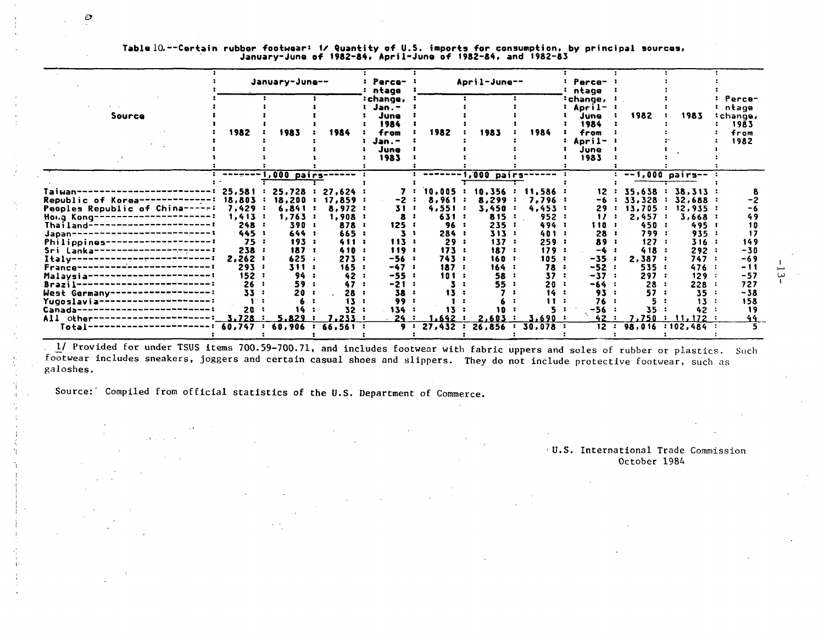|                                                                                                                                                                                           |                                                                                                  | January-June--                                                                                     |                                                                                                                                   | Perce- :<br>ntage                                                                      |                                                                                        | April-June--                                                                                 |                                                                                                      | Perce-<br>ntage                                                                            |                                                                                                   |                                                                                                            |                                                                  |
|-------------------------------------------------------------------------------------------------------------------------------------------------------------------------------------------|--------------------------------------------------------------------------------------------------|----------------------------------------------------------------------------------------------------|-----------------------------------------------------------------------------------------------------------------------------------|----------------------------------------------------------------------------------------|----------------------------------------------------------------------------------------|----------------------------------------------------------------------------------------------|------------------------------------------------------------------------------------------------------|--------------------------------------------------------------------------------------------|---------------------------------------------------------------------------------------------------|------------------------------------------------------------------------------------------------------------|------------------------------------------------------------------|
| Source                                                                                                                                                                                    | 1982                                                                                             | 1983                                                                                               | 1984                                                                                                                              | :change,<br>Jan.-<br>June<br>1984<br>from<br>Jan.-<br>June<br>1983                     | 1982                                                                                   | 1983                                                                                         | 1984                                                                                                 | :change,<br>April- :<br>June<br>1984<br>from<br>April-<br>June<br>1983                     | 1982                                                                                              | 1983                                                                                                       | Perce-<br>ntage<br>: change,<br>1983<br>from<br>1982             |
|                                                                                                                                                                                           |                                                                                                  | ,000 pairs                                                                                         |                                                                                                                                   |                                                                                        |                                                                                        | ,000 pairs                                                                                   |                                                                                                      |                                                                                            |                                                                                                   | $-1,000$ pairs $-$                                                                                         |                                                                  |
| Taiwan<br>lepublic of Korea-<br>eoples Republic of China-----:<br>Hong Kong-<br>Thailand-<br>Japan-<br>Philippines<br>Sri Lanka <sup>.</sup><br>Italy-<br>France-<br>Malaysia-<br>Brazil- | 25,581<br>18,803<br>7,429<br>,413<br>248:<br>445<br>75<br>238 :<br>2,262 :<br>293 :<br>152<br>26 | 25,728<br>18,200<br>6,841<br>1,763:<br>390:<br>644 :<br>193:<br>187<br>625<br>311:<br>94 :<br>59.: | 27,624<br>17,859:<br>$\ddot{\cdot}$<br>8,972:<br>$\cdot$ :<br>$1,908$ :<br>878 :<br>665:<br>411<br>410<br>273:<br>165<br>42<br>47 | -2<br>31<br>8<br>125:<br>3.<br>113:<br>119:<br>$-56$ :<br>$-47$ :<br>$-55$ :<br>$-21:$ | 10,005<br>8,961<br>4,551<br>631:<br>96:<br>284 :<br>29<br>173:<br>743:<br>187:<br>101: | 10,356<br>8,299<br>3,450<br>815<br>- :<br>235<br>313<br>137<br>187<br>160<br>164<br>58<br>55 | 11,586:<br>-<br>7,796:<br>4,453:<br>952:<br>494 :<br>401:<br>259:<br>179:<br>105:<br>78:<br>37<br>20 | 12<br>-6<br>29.<br>17<br>110:<br>28 :<br>89 :<br>-4 :<br>-35<br>$-52:$<br>$-37$ :<br>-64 : | 35,638<br>33,328<br>13,705<br>2,457<br>450:<br>799<br>127<br>418:<br>2,387:<br>535:<br>297:<br>28 | 38,313:<br>32,688<br>12,935:<br>$3,668$ :<br>495:<br>935:<br>316:<br>292:<br>747 :<br>476:<br>129:<br>228: | 49<br>10<br>17<br>149<br>$-30$<br>$-69$<br>$-11$<br>$-57$<br>727 |
| West Germany-<br>Yugoslavia <sup>.</sup>                                                                                                                                                  | 33                                                                                               | 20                                                                                                 | 28<br>13                                                                                                                          | 38<br>99:                                                                              | 13.3                                                                                   |                                                                                              | 14                                                                                                   | 93 :<br>76                                                                                 | 57                                                                                                | 35:<br>13                                                                                                  | $-38$<br>158                                                     |
| Canada-<br><b>All other</b><br>Total-                                                                                                                                                     | 20<br>1.728<br>60,747                                                                            | 14<br>5.829<br>60,906<br>- 1                                                                       | 32<br>7.233 :<br>66,561:                                                                                                          | 134:<br>24 :<br>9.                                                                     | 13:<br>.642:<br>27,432:                                                                | 10<br>2,603<br>26,856                                                                        | 3,690:<br>30,078<br>ч.                                                                               | $-56$ :<br>42<br>12:                                                                       | 35<br>7,750:<br>98,016                                                                            | 42 :<br>11,172:<br>$: 102, 484$ :                                                                          | 19<br>44                                                         |
|                                                                                                                                                                                           |                                                                                                  |                                                                                                    |                                                                                                                                   |                                                                                        |                                                                                        |                                                                                              |                                                                                                      |                                                                                            |                                                                                                   |                                                                                                            |                                                                  |

Table 10.--Certain rubber footwear: 1/ Quantity of U.S. imports for consumption, by principal sources, January-June of 1982-84, April-June of 1982-84, and 1982-83

1/ Provided for under TSUS items 700.59-700.71, and includes footwear with fabric uppers and soles of rubber or plastics. Such footwear includes sneakers, joggers and certain casual shoes and slippers. They do not include protective footwear, such as galoshes.

Source: Compiled from official statistics of the U.S. Department of Commerce.

**CALCULUS** 

U.S. International Trade Commission October 1984

 $\mathcal{E}$ 

 $\vec{v}$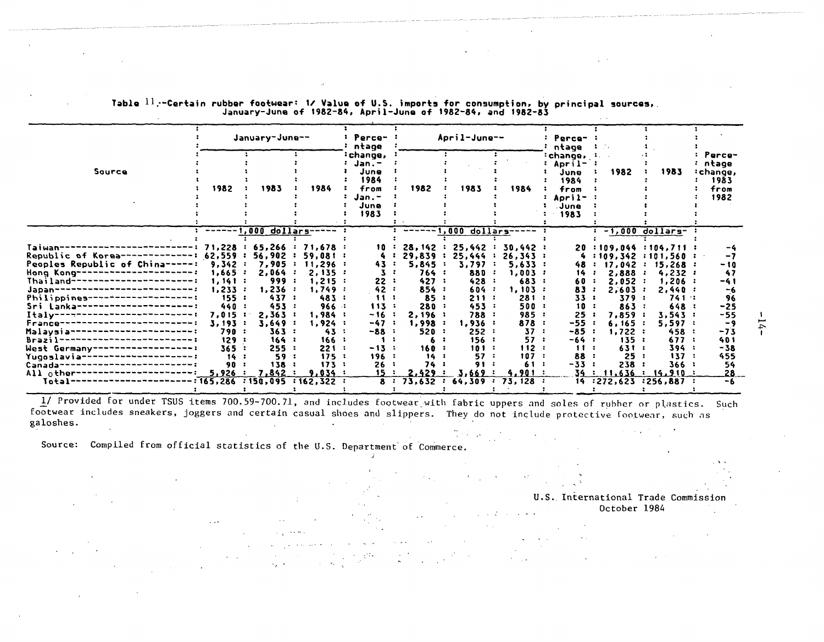|                            | January-June-- |               |                           | Perce-:<br>ntage                                                    |           | April-June--  |               |                                                                               | Perce-         |                         |                                                    |
|----------------------------|----------------|---------------|---------------------------|---------------------------------------------------------------------|-----------|---------------|---------------|-------------------------------------------------------------------------------|----------------|-------------------------|----------------------------------------------------|
| Source                     | 1982           | 1983          | 1984                      | : change,<br>Jan.-<br>June<br>1984<br>from<br>Jan.-<br>June<br>1983 | 1982      | 1983          | 1984          | ntage<br>:chanoe,<br>April-<br>June<br>1984<br>from<br>April-<br>June<br>1983 | . .<br>1982    | 1983                    | Perce-<br>ntage<br>change,<br>1983<br>from<br>1982 |
|                            |                | 1,000 dollars |                           |                                                                     |           | ,000 dollars  |               |                                                                               |                | $-1,000$ dollars-       |                                                    |
| Taiwan-                    | 71,228         | 65,266        | 71,678                    | $\overline{\mathbf{10}}$                                            | 28,142    | 25,442        | 30.442:<br>-  | 20                                                                            |                | : 109, 044 : 104, 711 : | -4                                                 |
| Republic of Korea--        | 62,559:        | 56,902        | 59,081:<br>- 81           | 4.                                                                  | 29,839:   | 25,444:       | 26,343:       |                                                                               |                | : 109, 342 : 101, 560 : | -7                                                 |
| Peoples Republic of China- | 9,342:         | 7,905         | 11,296:<br>$\ddot{\cdot}$ | 43 :                                                                | 5,845:    | 3,797         | 5,633:<br>- 1 | 48                                                                            | 17,042:<br>-31 | $15,268$ :              | $-10$                                              |
| Hong Kong-                 | 1.665          | 2,064         | 2,135:                    | 3.                                                                  | 764 :     | 880           | 1,003:        | 14                                                                            | 2,888          | 4,232:                  | 47                                                 |
| Thailand-                  | , 141:         | 999           | 1,215:                    | 22:                                                                 | 427:      | 428:          | 683:          | 60                                                                            | 2,052:         | $1,206$ :               | $-41$                                              |
| Japan:                     | ,233 :         | 1,236         | 1.749:                    | 42:                                                                 | 854:      | 604:          | 1,103:        | 83                                                                            | 2,603:         | 2.440:                  | -6                                                 |
| Philippines-               | 155:           | 437:          | 483:                      | 11:                                                                 | 85:       | 211:          | 281:          | 33                                                                            | 379:           | 741:                    | 96                                                 |
| Sri Lanka-                 | 440:           | 453:          | 966:                      | 113:                                                                | 280:      | 453 :         | 500 :         | 10                                                                            | 863:           | 648 :                   | $-25$                                              |
| $Itally-$                  | .015           | 2,363         | $1,984$ :                 | $-16$ :                                                             | $2,196$ : | 788 :         | 985:          | 25                                                                            | 7,859          | 3.543:                  | -55                                                |
| France-                    | .193:          | 3.649:        | 1,924:                    | $-47:$                                                              | 1,998:    | 1,936:        | 878:          | $-55$                                                                         | 6.165          | 5,597:                  | -9                                                 |
| Malaysia-                  | 790 :          | 363:          | 43                        | $-88:$                                                              | 520       | 252:          | 37:           | $-85$                                                                         | 1,722:         | 458:                    | $-73$                                              |
| Brazil-                    | 129:           | 164:          | 166                       |                                                                     | ь         | 156:          | 57:           | $-64:$                                                                        | 135 :          | 677:                    | 401                                                |
| West Germany               | 365:           | 255:          | 221                       | $-13:$<br>$\ddot{\cdot}$                                            | 160:      | 101:          | 112:          | 11                                                                            | 631:           | 394:                    | $-38$                                              |
| <b>Yugoslavia-</b>         | 14:            | 59:           | 175:                      | 196:                                                                | 14.7      | 57:           | 107:          | 88                                                                            | 25:            | 137:                    | 455                                                |
| Canada-                    | 90:            | 138           | 173                       | 26:                                                                 | 74        | 91:           | 61:           | $-33$                                                                         | 238            | 366:                    | 54                                                 |
| $All$ $other$              | 5.926:         | 7,842:        | 9.034:                    | 15:                                                                 | 2.429     | 3,669:        | 4,901:        |                                                                               |                | 34:11,636:14,910:       | 28                                                 |
| <b>Total-</b>              | 165,286        | : 150,095     | : 162, 322                | 8.                                                                  | 73,632    | 64,309<br>. . | 73,128:       | 14.                                                                           | : 272, 623     | : 256, 887              | -6                                                 |

### Table  $^{11}$ .-Certain rubber footwear: 1/ Value of U.S. imports for consumption, by principal sources, January-June of 1982-84, April-June of 1982-84, and 1982-83

1/ Provided for under TSUS items 700.59-700.71, and includes footwear with fabric uppers and soles of rubber or plastics. Such footwear includes sneakers, joggers and certain casual shoes and slippers. They do not include protective footwear, such as galoshes.  $\mathcal{A}^{\mathcal{A}}$  $\Delta$  .  $\sim 10^{-1}$ 

" Source: Compiled from official statistics of the U.S. Department· of Commerce.

 $\sim 10$ 

### U.S. International Trade Commission October 1984

 $\overline{\phantom{0}}$  $^{\prime}$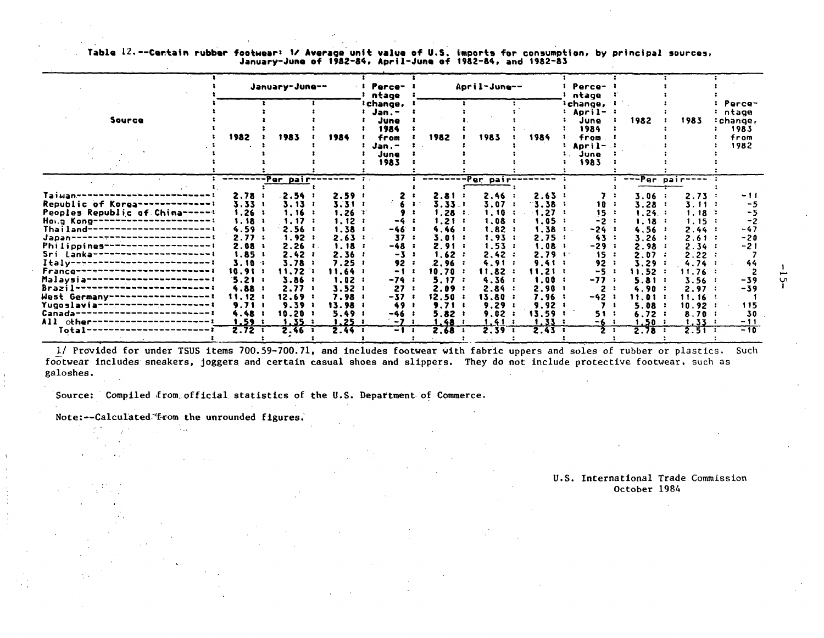Table  $12$ .--Certain rubber footwear: 1/ Average unit value of U.S. imports for consumption, by principal sources, January-June of '912-&4, April-June of 1982-&4, and 1982-83

| January-June--                                                                                                                                                                                                     |                                                                                                                    |                                                                                                                            |                                                                                                                        | : Perce-<br>ntage                                                               | April-June--                                                                                                       |                                                                                                                     |                                                                                                                              | Perce- :<br>ntage                                                                     |                                                                                                                       |                                                                                                                            |                                                                            |
|--------------------------------------------------------------------------------------------------------------------------------------------------------------------------------------------------------------------|--------------------------------------------------------------------------------------------------------------------|----------------------------------------------------------------------------------------------------------------------------|------------------------------------------------------------------------------------------------------------------------|---------------------------------------------------------------------------------|--------------------------------------------------------------------------------------------------------------------|---------------------------------------------------------------------------------------------------------------------|------------------------------------------------------------------------------------------------------------------------------|---------------------------------------------------------------------------------------|-----------------------------------------------------------------------------------------------------------------------|----------------------------------------------------------------------------------------------------------------------------|----------------------------------------------------------------------------|
| Source                                                                                                                                                                                                             | 1982                                                                                                               | 1983                                                                                                                       | 1984                                                                                                                   | 'change, '<br>Jan.-<br>June<br>1984<br>from<br>Jan.-<br>June<br>1983            | 1982                                                                                                               | 1983                                                                                                                | 1984                                                                                                                         | :change,<br>April-<br>June<br>1984<br>from<br>April- $\therefore$<br>June<br>1983     | 1982                                                                                                                  | 1983                                                                                                                       | Perce-<br>ntage<br>:change,<br>1983<br>from<br>1982                        |
|                                                                                                                                                                                                                    |                                                                                                                    | <u>Per pair</u>                                                                                                            |                                                                                                                        |                                                                                 |                                                                                                                    | Per pair-                                                                                                           |                                                                                                                              |                                                                                       |                                                                                                                       | $---Per pair---$                                                                                                           |                                                                            |
| Taiwan-<br>Republic of Korea-<br>Peoples Republic of China-<br>Hol.g Kong-<br>Thailand--<br>Japan<br>Philippines <sup>-</sup><br>Sri Lanka-<br>$Itally-$<br><b>France-</b><br>Malaysia-<br>Brazil-<br>West Germany | 2.78:<br>3.33:<br>1.26<br>1.18<br>4.59<br>2.77:<br>2.08:<br>1.85<br>3.10:<br>10.91 :<br>5.21:<br>4.88:<br>11.12  : | 2.54:<br>3.13:<br>1.16:<br>1.17:<br>2.56:<br>1.92 :<br>2.26:<br>2.42:<br>3.78:<br>11.72:<br>3.86:<br>2.77<br>- 3<br>12.69: | 2.59:<br>3.31:<br>$1.26$ :<br>1.12:<br>1.38:<br>2.63:<br>1.18:<br>2.36:<br>7.25:<br>11.64:<br>1.02:<br>3.52:<br>7.98 : | -43<br>$-46$ :<br>37<br>$-48:$<br>$-3:$<br>92:<br>-1:<br>$-74$<br>27<br>$-37$ : | 2.81:<br>3.33<br>1.28<br>1, 21:<br>4.46:<br>3.01:<br>2.91:<br>1.62:<br>2.96:<br>10.70:<br>5.17:<br>2.09:<br>12.50: | 2.46:<br>3.07<br>1.10:<br>1.08:<br>1.82 :<br>1.93:<br>1.53:<br>2.42:<br>4.91:<br>11.82:<br>4.36:<br>2.84:<br>13.80: | 2.63:<br>$-3.38$ :<br>$-1.27$ :<br>1.05:<br>1.38:<br>2.75:<br>1.08:<br>$2.79$ :<br>9.41:<br>11.21<br>1.00:<br>2.90:<br>7.96: | 10:<br>15<br>-2<br>$-24$ :<br>43<br>$-29:$<br>15<br>92<br>$-5$<br>-77 :<br>2<br>-42 : | 3.06<br>3.28:<br>$1.24.$ :<br>1.18:<br>4.56:<br>3.26:<br>2.98:<br>2.07<br>3.29<br>11.52:<br>5.81 :<br>4.90:<br>11.01: | 2.73:<br>3.11:<br>1.18:<br>1.15:<br>2.44:<br>2.61:<br>2.34:<br>2.22:<br>4.74:<br>. .<br>11.76:<br>3.56:<br>2.97:<br>11.16: | -11<br>-5<br>-5<br>$-2$<br>$-47$<br>$-20$<br>$-21$<br>44<br>$-39$<br>$-39$ |
| Yuqoslavia <sup>.</sup><br><b>Canada-</b>                                                                                                                                                                          | 9.71:<br>4.48:                                                                                                     | 9.39:<br>10.20:                                                                                                            | 13.98:<br>5.49:                                                                                                        | 49 :<br>-46 :                                                                   | 9.71:<br>5.82:                                                                                                     | 9.29<br>9.02:                                                                                                       | 9.92<br>13.59                                                                                                                | 51                                                                                    | 5.08:<br>6.72:                                                                                                        | 10.92:<br>8.70:                                                                                                            | 115<br>30                                                                  |
| All other<br>Total                                                                                                                                                                                                 | 1,59:<br>2.72:                                                                                                     | 1.35.<br>2.46:                                                                                                             | .25:<br>2.44:                                                                                                          | $-7:$<br>$-1$ :                                                                 | .48:<br>2.68:                                                                                                      | 1.41:<br>2.39:                                                                                                      | 1.33:<br>2.43:                                                                                                               | $-6$ :<br>2:                                                                          | 1.50:<br>2.78:                                                                                                        | 1,33:<br>2.51:                                                                                                             | $-11$<br>$-10^{-}$                                                         |

1/ Provided for under TSUS items 700.59-700. 71, and includes footwear with fabric uppers and soles of rubber or plastics. Such footwear includes sneakers, joggers and certain casual shoes and slippers. They do not include protective footwear, such as galoshes.

Source: Compiled from official statistics of the U.S. Department of Commerce.

Note:--Calculated."from the unrounded figures. . . .

> U.S. International Trade Commission October 1984

-<br>I 2-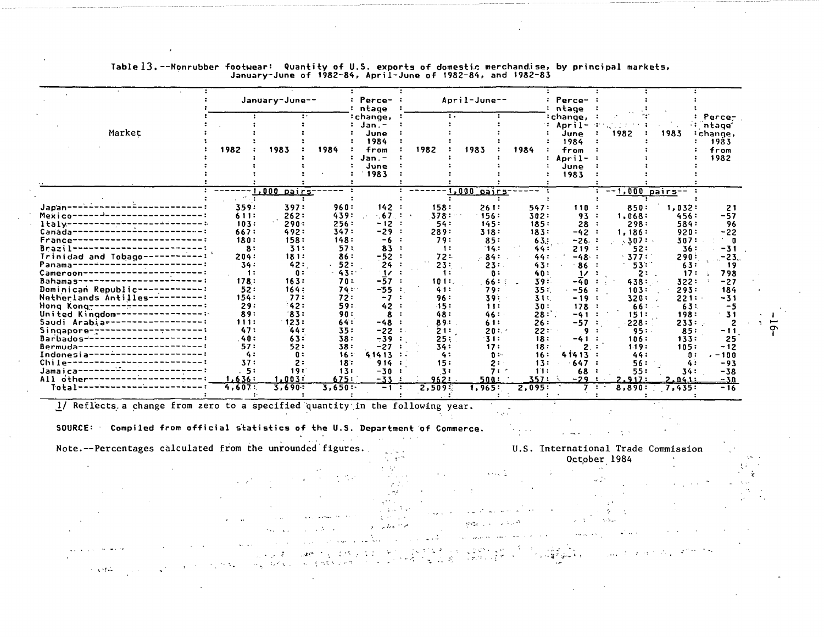# Table  $13$ .--Nonrubber footwear: Quantity of U.S. exports of domestic merchandise, by principal markets, [[1]<br>January-June of 1982-84, April-June of 1982-84, and 1982-83

 $\lambda$ 

| Market                                                                                                                                                                                                                                                                                                                                                                                                                                                                                                                                                                                  |                                                                                                                                                       |                                                                                                                                                                  | January-June--                                                                                                                             | Perce-<br>: ntaqe                                                                                                                                                     | Ŧ.                                                                                                                                                                     | April-June--<br>÷                                                                                                                            |                                                                                                                                         | : Perce-<br>: ntage                                                                                                                                                        |                                                                                                                                                                     |                                                                                                                                                                              |                                                                                                                   |
|-----------------------------------------------------------------------------------------------------------------------------------------------------------------------------------------------------------------------------------------------------------------------------------------------------------------------------------------------------------------------------------------------------------------------------------------------------------------------------------------------------------------------------------------------------------------------------------------|-------------------------------------------------------------------------------------------------------------------------------------------------------|------------------------------------------------------------------------------------------------------------------------------------------------------------------|--------------------------------------------------------------------------------------------------------------------------------------------|-----------------------------------------------------------------------------------------------------------------------------------------------------------------------|------------------------------------------------------------------------------------------------------------------------------------------------------------------------|----------------------------------------------------------------------------------------------------------------------------------------------|-----------------------------------------------------------------------------------------------------------------------------------------|----------------------------------------------------------------------------------------------------------------------------------------------------------------------------|---------------------------------------------------------------------------------------------------------------------------------------------------------------------|------------------------------------------------------------------------------------------------------------------------------------------------------------------------------|-------------------------------------------------------------------------------------------------------------------|
|                                                                                                                                                                                                                                                                                                                                                                                                                                                                                                                                                                                         | 1982                                                                                                                                                  | 1983                                                                                                                                                             | 1984                                                                                                                                       | :change,<br>Jan.-<br>June<br>1984<br>from<br>Jan.-<br>June<br>1983                                                                                                    | 1982                                                                                                                                                                   | $\ddot{\phantom{a}}$<br>$\ddot{\phantom{a}}$<br>1983                                                                                         | 1984                                                                                                                                    | :change,<br>÷<br>April-<br>June<br>1984<br>from<br>April-<br>June<br>1983                                                                                                  | 1982                                                                                                                                                                | 1983                                                                                                                                                                         | Perce-<br>ntage'<br>:change,<br>1983<br>from<br>1982                                                              |
|                                                                                                                                                                                                                                                                                                                                                                                                                                                                                                                                                                                         |                                                                                                                                                       | $-1.000$ pairs                                                                                                                                                   |                                                                                                                                            |                                                                                                                                                                       |                                                                                                                                                                        | ,000 pairs-                                                                                                                                  | $\ddot{\phantom{1}}$                                                                                                                    |                                                                                                                                                                            |                                                                                                                                                                     | -1,00 <u>0 pairs</u>                                                                                                                                                         |                                                                                                                   |
| Japan----<br>Mexico----------------------<br>ltaly------------------------<br>Canada----------------------<br>--------------------<br>France-<br>Brazil-<br>Trinidad and Tobago-----------<br>-- <u>-------------</u> -<br>Panama-<br>Cameroon-------------------<br>Bahamas-<br>Dominican Republic------------<br>Netherlands Antilles----------:<br>Hong Kong-------------------<br>United Kingdom--------------<br>Saudi Arabia---------------<br>Singapore----------------------<br>Barbados---------------------<br>Bermuda----------------------<br>Indonesia-------------------- | 359:<br>611:<br>103:<br>667:<br>180:<br>8:<br>204:<br>34:<br>$\blacksquare$<br>178:<br>52:<br>154 :<br>29:<br>89:<br>111:<br>47:<br>.40:<br>57:<br>4: | 397:<br>262:<br>290:<br>492:<br>158:<br>31:<br>181:<br>42:<br>$\mathbf{0}$ :<br>163:<br>164:<br>77:<br>42:<br>83:<br>123:<br>441<br>63:<br>52:<br>$\mathbf{a}$ : | 96 O :<br>439:<br>256:<br>347:<br>148:<br>57 :<br>86:<br>.52:<br>43:<br>70:<br>74:<br>72:<br>59:<br>90:<br>64:<br>35:<br>38:<br>38:<br>16: | 142:<br>$-67.$ :<br>$-12$ :<br>-29 :<br>$-6$ :<br>83:<br>-52 :<br>24 :<br>$1/$ :<br>-57 :<br>-55 :<br>-7 :<br>42:<br>8:<br>-48 :<br>$-22$ :<br>$-39:$<br>-27<br>41413 | 158:<br>378:<br>54 :<br>289:<br>79:<br>$\ddagger$ :<br>72:<br>23:<br>$\ddot{\phantom{1}}$<br>10 I : .<br>41:<br>96 :<br>.15:<br>48:<br>89:<br>21:<br>25 :<br>34:<br>4: | 261:<br>156:<br>145:<br>318:<br>85:<br>14:<br>$-84:$<br>23:<br>0:<br>66: L<br>79:<br>39:<br>11:<br>46 :<br>61:<br>20:7<br>31:<br>17:<br>.กะ⊳ | 547:<br>302:<br>185:<br>183:<br>63.<br>44:<br>44:<br>43:<br>40:<br>39:<br>35:<br>31.<br>30:<br>28 :<br>26 :<br>22:<br>18:<br>18:<br>16: | 110:<br>93 :<br>28:<br>-42 :<br>-26. :<br>219 :<br>$-48.$<br>86 :<br>$1/$ :<br>-40<br>- 1<br>$-56$<br>-19:<br>178<br>$-41$<br>-57<br>9<br>-41 :<br>$\mathbf{2}$ .<br>41413 | 850:<br>1,068:<br>298:<br>1,186:<br>$\cdot$ 307: $\cdot$<br>52:<br>$-377:$<br>53:<br>438:<br>103:<br>320:<br>151:<br>228:<br>95:<br>$\cdot$<br>106:<br>1.19:<br>44: | 1,032:<br>456:<br>584:<br>920:<br>307:<br>36:<br>290:<br>63:<br>$2:$ .<br>17:<br>322:<br>293:<br>221:<br>66:<br>63:<br>198:<br>233:<br>85:<br>133:<br>105:<br>$\mathbf{0}$ : | 21<br>-57<br>96<br>-22<br>-31<br>-23<br>-19<br>798<br>-27<br>184<br>-31<br>-5<br>31<br>-11<br>25<br>$-12$<br>-100 |
| --------------------<br>Chile-<br>Jamaica-------------------                                                                                                                                                                                                                                                                                                                                                                                                                                                                                                                            | 37:<br>.5:                                                                                                                                            | 2:<br>19:                                                                                                                                                        | 18:<br>13:                                                                                                                                 | 914<br>-30                                                                                                                                                            | 15:<br>3:                                                                                                                                                              | 2:<br>7: 1                                                                                                                                   | 13:<br>11:                                                                                                                              | ·647 ፡<br>68 :                                                                                                                                                             | 56:<br>55:                                                                                                                                                          | 4:<br>34:                                                                                                                                                                    | -93<br>-38                                                                                                        |
| All $o$ ther-------------                                                                                                                                                                                                                                                                                                                                                                                                                                                                                                                                                               | 1,636:                                                                                                                                                | 1,003:                                                                                                                                                           | 675:                                                                                                                                       | $-33$                                                                                                                                                                 | 962:                                                                                                                                                                   | 500:                                                                                                                                         | 357 :                                                                                                                                   | $-29$                                                                                                                                                                      | 2.917:                                                                                                                                                              | : ۵،۹۰۰                                                                                                                                                                      | <u>-30</u>                                                                                                        |
| $Total-----$                                                                                                                                                                                                                                                                                                                                                                                                                                                                                                                                                                            | <b>4,607:</b>                                                                                                                                         | 3,690:                                                                                                                                                           | 3,650 ··                                                                                                                                   | -1:                                                                                                                                                                   | 2,509%                                                                                                                                                                 | 1,965:                                                                                                                                       | 2,095:<br>$\mathbf{z}$                                                                                                                  | 7 :<br>$\ddot{\phantom{a}}$                                                                                                                                                | 8,890:                                                                                                                                                              | 7,435:                                                                                                                                                                       | - 16                                                                                                              |

 $\frac{16}{6}$ ,

~·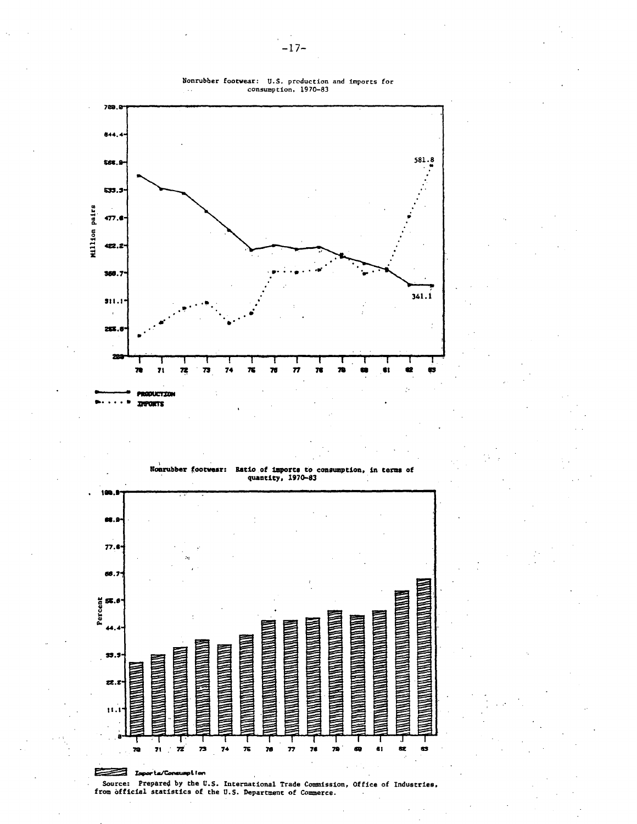

# 

Noarubber footwesr: Ratio of imports to consumption, in terms of quantity, 1970-83





**E** Importa/Consumption Source: Prepared by the U.S. International Trade Commission, Office of Industries,<br>from official statistics of the U.S. Department of Commerce.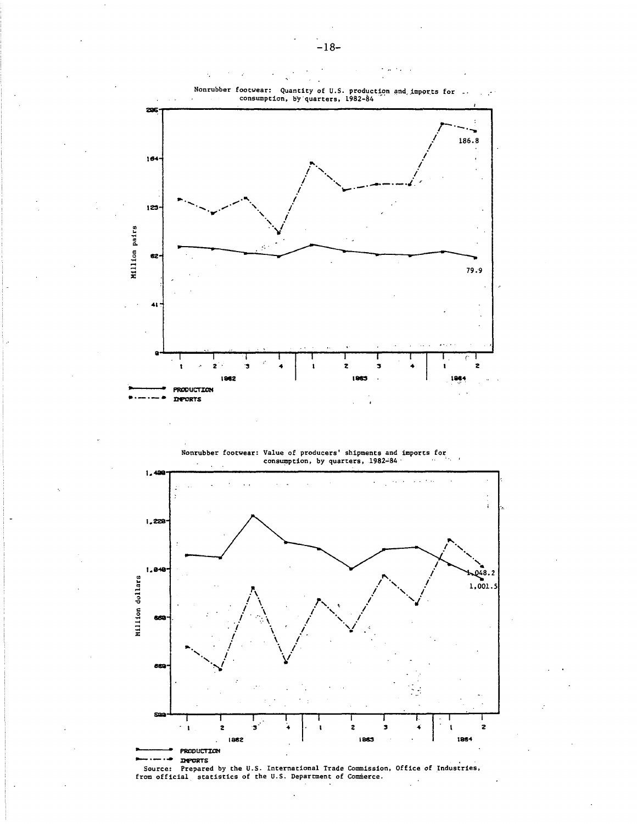

Nonrubber footwear: Value of producers' shipments and imports for<br>consumption, by quarters, 1982-84



Source: Prepared by the U.S. International Trade Commission, Office of Industries,<br>from official statistics of the U.S. Department of Commerce.

 $-18-$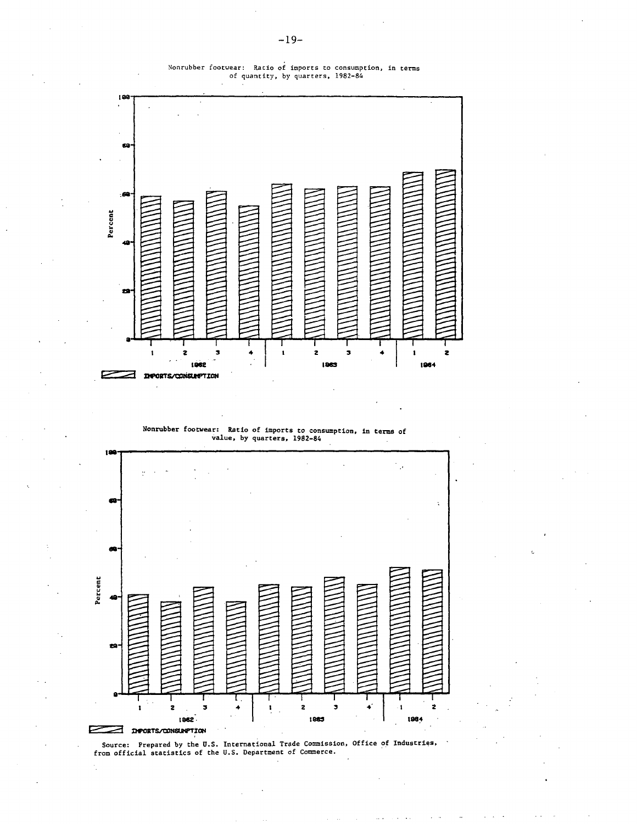**Nonrubber footuear: Ratio of imports to consumption, in terms**  of quantity, by quarters, 1982-84



Nonrubber footwear: Ratio of imports to consumption, in terms of value, by quarters, 1982-84





ŕ,

-19-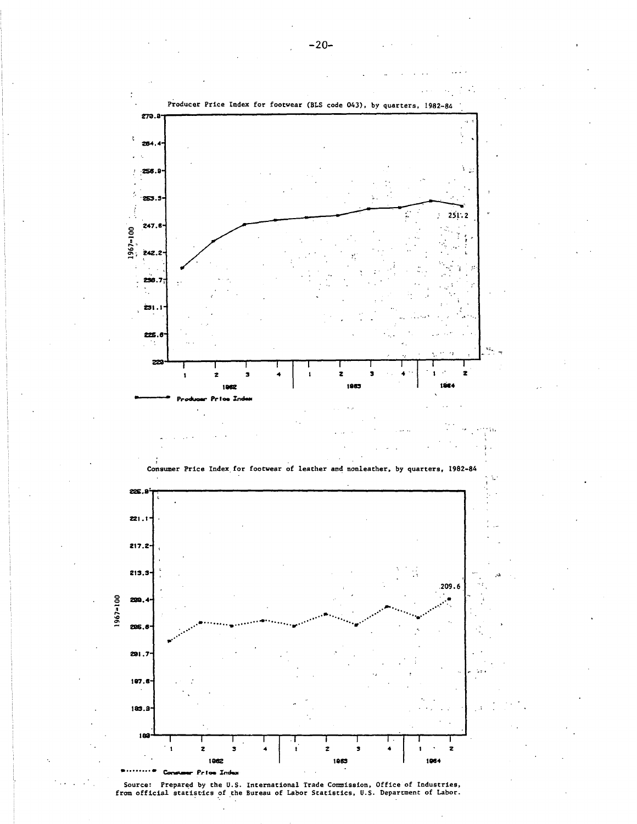



 $-20-$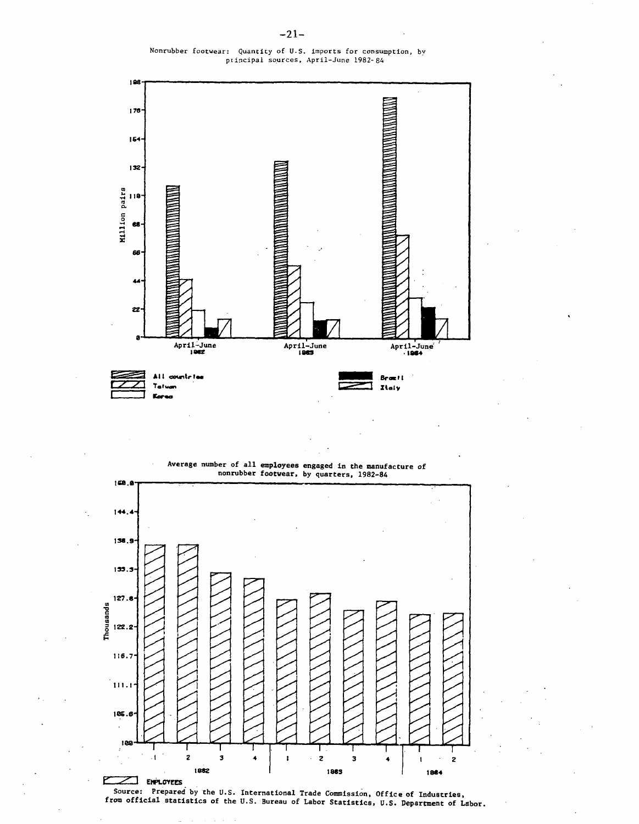Nonrubber footwear: Quantity of U.S. imports for consumption, by principal sources, April-June 1982-84



Source: Prepared by the U.S. International Trade Commission, Office of Industries,<br>from official statistics of the U.S. Bureau of Labor Statistics, U.S. Department of Labor.

 $-21-$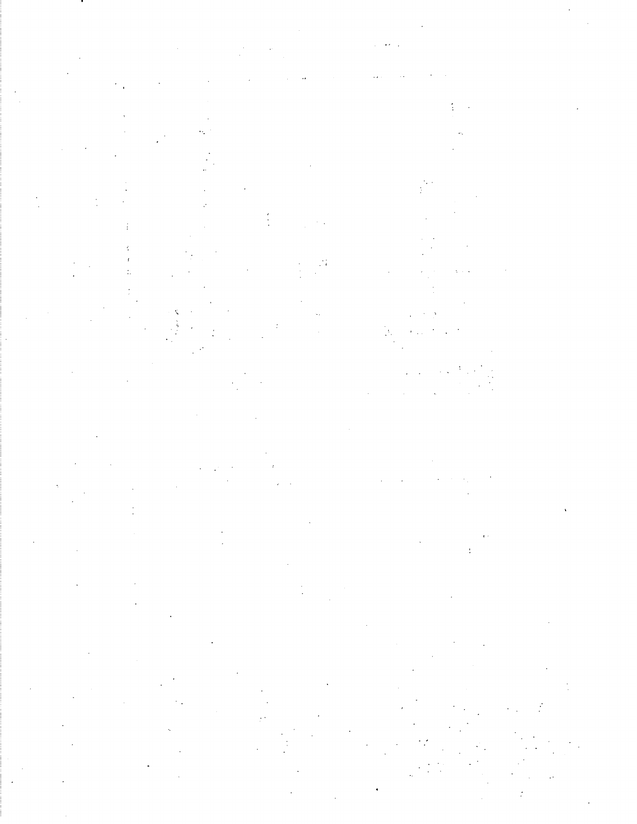|  |  |  |  | a de la construcción de la construcción de la construcción de la construcción de la construcción de la constru<br>En 1930, el construcción de la construcción de la construcción de la construcción de la construcción de la con                                                                                                                                                                                                                                                                                                                                                                                                                                                                                                                                                                                                                 |  |
|--|--|--|--|--------------------------------------------------------------------------------------------------------------------------------------------------------------------------------------------------------------------------------------------------------------------------------------------------------------------------------------------------------------------------------------------------------------------------------------------------------------------------------------------------------------------------------------------------------------------------------------------------------------------------------------------------------------------------------------------------------------------------------------------------------------------------------------------------------------------------------------------------|--|
|  |  |  |  | a de la companya de la companya de la companya de la companya de la companya de la companya de la companya de<br>La companya de la companya de la companya de la companya de la companya de la companya de la companya de la co                                                                                                                                                                                                                                                                                                                                                                                                                                                                                                                                                                                                                  |  |
|  |  |  |  |                                                                                                                                                                                                                                                                                                                                                                                                                                                                                                                                                                                                                                                                                                                                                                                                                                                  |  |
|  |  |  |  |                                                                                                                                                                                                                                                                                                                                                                                                                                                                                                                                                                                                                                                                                                                                                                                                                                                  |  |
|  |  |  |  | $\label{eq:2.1} \mathcal{L}(\mathcal{L}^{\mathcal{L}}_{\mathcal{L}}(\mathcal{L}^{\mathcal{L}}_{\mathcal{L}})) = \mathcal{L}(\mathcal{L}^{\mathcal{L}}_{\mathcal{L}}(\mathcal{L}^{\mathcal{L}}_{\mathcal{L}})) = \mathcal{L}(\mathcal{L}^{\mathcal{L}}_{\mathcal{L}}(\mathcal{L}^{\mathcal{L}}_{\mathcal{L}}))$                                                                                                                                                                                                                                                                                                                                                                                                                                                                                                                                   |  |
|  |  |  |  | $\label{eq:2.1} \Delta_{\alpha}(\omega)=\frac{1}{2}\sum_{\alpha\in\mathbb{Z}}\left(\frac{1}{\alpha}\sum_{\alpha\in\mathbb{Z}}\left(\frac{1}{\alpha}\sum_{\alpha\in\mathbb{Z}}\left(\frac{1}{\alpha}\right)\right)\right)^{\alpha}$                                                                                                                                                                                                                                                                                                                                                                                                                                                                                                                                                                                                               |  |
|  |  |  |  | $\label{eq:2.1} \frac{1}{2} \sum_{i=1}^n \frac{1}{2} \sum_{j=1}^n \frac{1}{2} \sum_{j=1}^n \frac{1}{2} \sum_{j=1}^n \frac{1}{2} \sum_{j=1}^n \frac{1}{2} \sum_{j=1}^n \frac{1}{2} \sum_{j=1}^n \frac{1}{2} \sum_{j=1}^n \frac{1}{2} \sum_{j=1}^n \frac{1}{2} \sum_{j=1}^n \frac{1}{2} \sum_{j=1}^n \frac{1}{2} \sum_{j=1}^n \frac{1}{2} \sum_{j=1}^n \frac{$<br>$\label{eq:2.1} \frac{1}{\left(1-\frac{1}{2}\right)}\left(\frac{1}{2}\right)^{\frac{1}{2}}\left(\frac{1}{2}\right)^{\frac{1}{2}}\left(\frac{1}{2}\right)^{\frac{1}{2}}\left(\frac{1}{2}\right)^{\frac{1}{2}}\left(\frac{1}{2}\right)^{\frac{1}{2}}\left(\frac{1}{2}\right)^{\frac{1}{2}}\left(\frac{1}{2}\right)^{\frac{1}{2}}\left(\frac{1}{2}\right)^{\frac{1}{2}}\left(\frac{1}{2}\right)^{\frac{1}{2}}\left(\frac{1}{2}\right)^{\frac{1}{2}}\left(\frac{1}{2}\right)^{\frac$ |  |